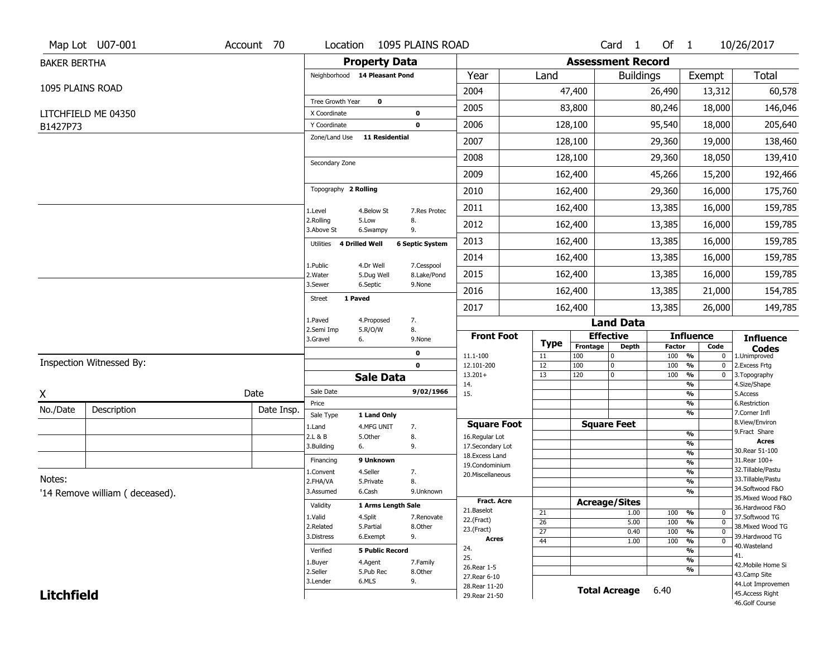|                     | Map Lot U07-001                | Account 70 | Location                      | 1095 PLAINS ROAD                                     |                                      |                   |                          | Card <sub>1</sub>    | Of 1          |                                                 | 10/26/2017                        |
|---------------------|--------------------------------|------------|-------------------------------|------------------------------------------------------|--------------------------------------|-------------------|--------------------------|----------------------|---------------|-------------------------------------------------|-----------------------------------|
| <b>BAKER BERTHA</b> |                                |            |                               | <b>Property Data</b>                                 |                                      |                   | <b>Assessment Record</b> |                      |               |                                                 |                                   |
|                     |                                |            |                               | Neighborhood 14 Pleasant Pond                        | Year                                 | Land              |                          | <b>Buildings</b>     |               | Exempt                                          | <b>Total</b>                      |
| 1095 PLAINS ROAD    |                                |            |                               |                                                      | 2004                                 |                   | 47,400                   |                      | 26,490        | 13,312                                          | 60,578                            |
|                     |                                |            | Tree Growth Year              | 0                                                    | 2005                                 |                   | 83,800                   |                      | 80,246        | 18,000                                          | 146,046                           |
|                     | LITCHFIELD ME 04350            |            | X Coordinate                  | 0                                                    |                                      |                   |                          |                      |               |                                                 |                                   |
| B1427P73            |                                |            | Y Coordinate<br>Zone/Land Use | 0<br><b>11 Residential</b>                           | 2006                                 |                   | 128,100                  |                      | 95,540        | 18,000                                          | 205,640                           |
|                     |                                |            |                               |                                                      | 2007                                 |                   | 128,100                  |                      | 29,360        | 19,000                                          | 138,460                           |
|                     |                                |            | Secondary Zone                |                                                      | 2008                                 |                   | 128,100                  |                      | 29,360        | 18,050                                          | 139,410                           |
|                     |                                |            |                               |                                                      | 2009                                 |                   | 162,400                  |                      | 45,266        | 15,200                                          | 192,466                           |
|                     |                                |            | Topography 2 Rolling          |                                                      | 2010                                 |                   | 162,400                  |                      | 29,360        | 16,000                                          | 175,760                           |
|                     |                                |            | 1.Level                       | 4.Below St<br>7.Res Protec                           | 2011                                 |                   | 162,400                  |                      | 13,385        | 16,000                                          | 159,785                           |
|                     |                                |            | 2.Rolling<br>3.Above St       | 5.Low<br>8.<br>9.<br>6.Swampy                        | 2012                                 |                   | 162,400                  |                      | 13,385        | 16,000                                          | 159,785                           |
|                     |                                |            | Utilities                     | 4 Drilled Well<br><b>6 Septic System</b>             | 2013                                 |                   | 162,400                  |                      | 13,385        | 16,000                                          | 159,785                           |
|                     |                                |            |                               |                                                      | 2014                                 |                   | 162,400                  |                      | 13,385        | 16,000                                          | 159,785                           |
|                     |                                |            | 1.Public<br>2. Water          | 4.Dr Well<br>7.Cesspool<br>5.Dug Well<br>8.Lake/Pond | 2015                                 |                   | 162,400                  |                      | 13,385        | 16,000                                          | 159,785                           |
|                     |                                |            | 3.Sewer                       | 6.Septic<br>9.None                                   | 2016                                 |                   | 162,400                  |                      | 13,385        | 21,000                                          | 154,785                           |
|                     |                                |            | 1 Paved<br><b>Street</b>      |                                                      | 2017                                 |                   | 162,400                  |                      | 13,385        | 26,000                                          | 149,785                           |
|                     |                                |            | 1.Paved                       | 7.<br>4.Proposed                                     |                                      |                   |                          | <b>Land Data</b>     |               |                                                 |                                   |
|                     |                                |            | 2.Semi Imp<br>3.Gravel        | 5.R/O/W<br>8.<br>6.<br>9.None                        | <b>Front Foot</b>                    |                   | <b>Effective</b>         |                      |               | <b>Influence</b>                                | <b>Influence</b>                  |
|                     |                                |            |                               | 0                                                    | 11.1-100                             | <b>Type</b><br>11 | Frontage<br>100          | <b>Depth</b><br>0    | Factor<br>100 | Code<br>%<br>0                                  | <b>Codes</b><br>1.Unimproved      |
|                     | Inspection Witnessed By:       |            |                               | $\mathbf 0$                                          | 12.101-200                           | $\overline{12}$   | 100                      | 0                    | 100           | $\frac{9}{6}$<br>$\bf{0}$                       | 2. Excess Frtg                    |
|                     |                                |            |                               | <b>Sale Data</b>                                     | $13.201+$<br>14.                     | 13                | 120                      | 0                    | 100           | $\frac{9}{6}$<br>$\mathbf 0$<br>%               | 3. Topography<br>4.Size/Shape     |
| X                   |                                | Date       | Sale Date                     | 9/02/1966                                            | 15.                                  |                   |                          |                      |               | %                                               | 5.Access                          |
| No./Date            | Description                    |            | Price                         |                                                      |                                      |                   |                          |                      |               |                                                 |                                   |
|                     |                                |            |                               |                                                      |                                      |                   |                          |                      |               | %                                               | 6.Restriction                     |
|                     |                                | Date Insp. | Sale Type                     | 1 Land Only                                          |                                      |                   |                          |                      |               | %                                               | 7.Corner Infl<br>8.View/Environ   |
|                     |                                |            | 1.Land<br>2.L & B             | 4.MFG UNIT<br>7.<br>5.Other                          | <b>Square Foot</b><br>16.Regular Lot |                   |                          | <b>Square Feet</b>   |               | $\frac{9}{6}$                                   | 9. Fract Share                    |
|                     |                                |            | 3.Building                    | 8.<br>9.<br>6.                                       | 17.Secondary Lot                     |                   |                          |                      |               | %                                               | <b>Acres</b>                      |
|                     |                                |            | Financing                     | 9 Unknown                                            | 18.Excess Land                       |                   |                          |                      |               | $\frac{9}{6}$                                   | 30. Rear 51-100<br>31.Rear 100+   |
|                     |                                |            | 1.Convent                     | 4.Seller<br>7.                                       | 19.Condominium                       |                   |                          |                      |               | $\overline{\frac{9}{6}}$<br>$\frac{9}{6}$       | 32. Tillable/Pastu                |
| Notes:              |                                |            | 2.FHA/VA                      | 8.<br>5.Private                                      | 20.Miscellaneous                     |                   |                          |                      |               | $\overline{\frac{9}{6}}$                        | 33. Tillable/Pastu                |
|                     | '14 Remove william (deceased). |            | 3.Assumed                     | 6.Cash<br>9.Unknown                                  |                                      |                   |                          |                      |               | %                                               | 34.Softwood F&O                   |
|                     |                                |            | Validity                      | 1 Arms Length Sale                                   | <b>Fract, Acre</b>                   |                   | <b>Acreage/Sites</b>     |                      |               |                                                 | 35. Mixed Wood F&O                |
|                     |                                |            | 1.Valid                       | 7.Renovate                                           | 21.Baselot                           | 21                |                          | 1.00                 | 100           | %<br>$\boldsymbol{0}$                           | 36.Hardwood F&O<br>37.Softwood TG |
|                     |                                |            | 2.Related                     | 4.Split<br>5.Partial<br>8.Other                      | 22.(Fract)                           | $\overline{26}$   |                          | 5.00                 | 100           | $\overline{0}$<br>%                             | 38. Mixed Wood TG                 |
|                     |                                |            | 3.Distress                    | 9.<br>6.Exempt                                       | 23.(Fract)<br>Acres                  | $\overline{27}$   |                          | 0.40                 | 100           | $\overline{0}$<br>%                             | 39.Hardwood TG                    |
|                     |                                |            | Verified                      | <b>5 Public Record</b>                               | 24.                                  | 44                |                          | 1.00                 | 100           | $\overline{\mathfrak{o}}$<br>$\frac{9}{6}$<br>% | 40. Wasteland                     |
|                     |                                |            |                               |                                                      | 25.                                  |                   |                          |                      |               | %                                               | 41.                               |
|                     |                                |            | 1.Buyer<br>2.Seller           | 4.Agent<br>7.Family<br>5.Pub Rec<br>8.Other          | 26. Rear 1-5                         |                   |                          |                      |               | %                                               | 42. Mobile Home Si                |
|                     |                                |            | 3.Lender                      | 6.MLS<br>9.                                          | 27. Rear 6-10                        |                   |                          |                      |               |                                                 | 43.Camp Site<br>44.Lot Improvemen |
| <b>Litchfield</b>   |                                |            |                               |                                                      | 28. Rear 11-20<br>29. Rear 21-50     |                   |                          | <b>Total Acreage</b> | 6.40          |                                                 | 45.Access Right<br>46.Golf Course |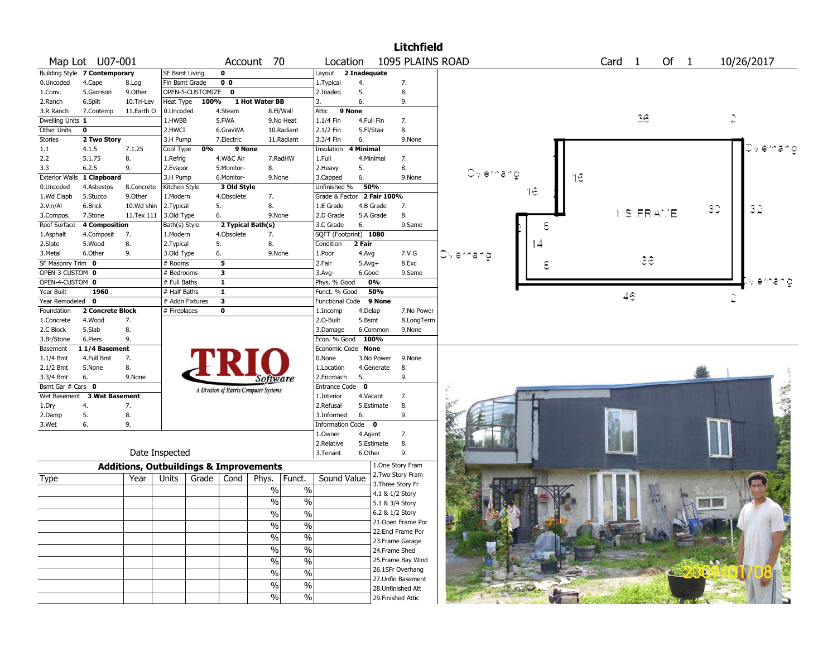|                                  |                               |            |                                                   |                                       |                   |                          |                       |              | <b>Litchfield</b>                      |           |    |    |                   |                |      |    |             |
|----------------------------------|-------------------------------|------------|---------------------------------------------------|---------------------------------------|-------------------|--------------------------|-----------------------|--------------|----------------------------------------|-----------|----|----|-------------------|----------------|------|----|-------------|
|                                  | Map Lot U07-001               |            |                                                   |                                       | Account 70        |                          | Location              |              | 1095 PLAINS ROAD                       |           |    |    | Card <sub>1</sub> |                | Of 1 |    | 10/26/2017  |
|                                  | Building Style 7 Contemporary |            | SF Bsmt Living                                    | 0                                     |                   |                          | Layout                | 2 Inadequate |                                        |           |    |    |                   |                |      |    |             |
| 0.Uncoded                        | 4.Cape                        | 8.Log      | Fin Bsmt Grade                                    | $\overline{0}$                        |                   |                          | 1. Typical            | 4.           | 7.                                     |           |    |    |                   |                |      |    |             |
| 1.Conv.                          | 5.Garrison                    | 9.Other    | OPEN-5-CUSTOMIZE                                  | $\mathbf 0$                           |                   |                          | 2.Inadeq              | 5.           | 8.                                     |           |    |    |                   |                |      |    |             |
| 2.Ranch                          | 6.Split                       | 10.Tri-Lev | Heat Type                                         | 100%                                  | 1 Hot Water BB    |                          | 3.                    | 6.           | 9.                                     |           |    |    |                   |                |      |    |             |
| 3.R Ranch                        | 7.Contemp                     | 11.Earth O | 0.Uncoded                                         | 4.Steam                               | 8.Fl/Wall         |                          | 9 None<br>Attic       |              |                                        |           |    |    |                   |                |      |    |             |
| Dwelling Units 1                 |                               |            | 1.HWBB                                            | 5.FWA                                 | 9.No Heat         |                          | $1.1/4$ Fin           | 4.Full Fin   | 7.                                     |           |    |    |                   | 36             |      |    | 2           |
| Other Units                      | $\bf{0}$                      |            | 2.HWCI                                            | 6.GravWA                              |                   | 10.Radiant               | 2.1/2 Fin             | 5.Fl/Stair   | 8.                                     |           |    |    |                   |                |      |    |             |
| Stories                          | 2 Two Story                   |            | 3.H Pump                                          | 7.Electric                            | 11.Radiant        |                          | 3.3/4 Fin             | 6.           | 9.None                                 |           |    |    |                   |                |      |    |             |
| 1.1                              | 4.1.5                         | 7.1.25     | $\overline{0\%}$<br>Cool Type                     | 9 None                                |                   |                          | Insulation            | 4 Minimal    |                                        |           |    |    |                   |                |      |    |             |
| 2.2                              | 5.1.75                        | 8.         | 1.Refrig                                          | 4.W&C Air                             | 7.RadHW           |                          | 1.Full                | 4.Minimal    | 7.                                     |           |    |    |                   |                |      |    |             |
| 3.3                              | 6.2.5                         | 9.         | 2.Evapor                                          | 5.Monitor-                            | 8.                |                          | 2. Heavy              | 5.           | 8.                                     |           |    |    |                   |                |      |    |             |
| <b>Exterior Walls</b>            | 1 Clapboard                   |            | 3.H Pump                                          | 6.Monitor-                            | 9.None            |                          | 3.Capped              | 6.           | 9.None                                 | Ovlernang |    | 16 |                   |                |      |    |             |
| 0.Uncoded                        | 4.Asbestos                    | 8.Concrete | Kitchen Style                                     | 3 Old Style                           |                   |                          | Unfinished %          | 50%          |                                        |           |    |    |                   |                |      |    |             |
| 1.Wd Clapb                       | 5.Stucco                      | 9.Other    | 1.Modern                                          | 4.Obsolete                            | 7.                |                          | Grade & Factor        |              | 2 Fair 100%                            |           | 16 |    |                   |                |      |    |             |
| 2.Vin/Al                         | 6.Brick                       | 10.Wd shin | 2. Typical                                        | 5.                                    | 8.                |                          | 1.E Grade             | 4.B Grade    | 7.                                     |           |    |    |                   |                |      | 30 | 32          |
| 3.Compos.                        | 7.Stone                       | 11.Tex 111 | 3.Old Type                                        | 6.                                    | 9.None            |                          | 2.D Grade             | 5.A Grade    | 8.                                     |           |    |    |                   | <b>S FRAME</b> |      |    |             |
| Roof Surface                     | <b>4 Composition</b>          |            | Bath(s) Style                                     |                                       | 2 Typical Bath(s) |                          | 3.C Grade             | 6.           | 9.Same                                 |           | ε  |    |                   |                |      |    |             |
| 1.Asphalt                        | 4.Composit                    | 7.         | 1.Modern                                          | 4.Obsolete                            | 7.                |                          | SQFT (Footprint) 1080 |              |                                        |           |    |    |                   |                |      |    |             |
| 2.Slate                          | 5.Wood                        | 8.         | 2.Typical                                         | 5.                                    | 8.                |                          | Condition             | 2 Fair       |                                        |           |    |    |                   |                |      |    |             |
| 3.Metal                          | 6.Other                       | 9.         | 3.Old Type                                        | 6.                                    | 9.None            |                          | 1.Poor                | 4.Avg        | 7.V G                                  | Dylernand |    |    |                   |                |      |    |             |
| SF Masonry Trim 0                |                               |            | # Rooms                                           |                                       |                   |                          | 2.Fair                | $5.Avg+$     | 8.Exc                                  |           |    |    |                   | 36             |      |    |             |
| OPEN-3-CUSTOM 0                  |                               |            | # Bedrooms                                        |                                       |                   |                          | $3.$ Avg-             | 6.Good       | 9.Same                                 |           |    |    |                   |                |      |    |             |
| OPEN-4-CUSTOM 0                  |                               |            | # Full Baths                                      | $\overline{\mathbf{1}}$               |                   |                          | Phys. % Good          | 0%           |                                        |           |    |    |                   |                |      |    |             |
| Year Built                       | 1960                          |            | # Half Baths                                      | $\overline{\mathbf{1}}$               |                   |                          | Funct. % Good         | 50%          |                                        |           |    |    |                   |                |      |    |             |
| Year Remodeled 0                 |                               |            | # Addn Fixtures                                   | $\overline{\mathbf{3}}$               |                   |                          | Functional Code       |              | 9 None                                 |           |    |    |                   | 46             |      |    | 2           |
| Foundation                       | 2 Concrete Block              |            | # Fireplaces                                      | $\overline{\mathbf{0}}$               |                   |                          | 1.Incomp              | 4.Delap      | 7.No Power                             |           |    |    |                   |                |      |    |             |
| 1.Concrete                       | 4.Wood                        | 7.         |                                                   |                                       |                   |                          | 2.O-Built             | 5.Bsmt       | 8.LongTerm                             |           |    |    |                   |                |      |    |             |
| 2.C Block                        | 5.Slab                        | 8.         |                                                   |                                       |                   |                          | 3.Damage              | 6.Common     | 9.None                                 |           |    |    |                   |                |      |    |             |
| 3.Br/Stone                       | 6.Piers                       | 9.         |                                                   |                                       |                   |                          | Econ. % Good          | 100%         |                                        |           |    |    |                   |                |      |    |             |
| Basement                         | 11/4 Basement                 |            |                                                   |                                       |                   |                          | Economic Code None    |              |                                        |           |    |    |                   |                |      |    |             |
| $1.1/4$ Bmt                      | 4.Full Bmt                    | 7.         |                                                   |                                       |                   |                          | 0.None                | 3.No Power   | 9.None                                 |           |    |    |                   |                |      |    |             |
| $2.1/2$ Bmt                      | 5.None                        | 8.         |                                                   |                                       |                   |                          | 1.Location            | 4.Generate   | 8.                                     |           |    |    |                   |                |      |    |             |
| 3.3/4 Bmt                        | 6.                            | 9.None     |                                                   |                                       | Software          |                          | 2.Encroach            | 5.           | 9.                                     |           |    |    |                   |                |      |    |             |
| Bsmt Gar $#$ Cars $\overline{0}$ |                               |            |                                                   |                                       |                   |                          | <b>Entrance Code</b>  | $\mathbf{0}$ |                                        |           |    |    |                   |                |      |    |             |
|                                  | Wet Basement 3 Wet Basement   |            |                                                   | A Division of Harris Computer Systems |                   |                          | 1.Interior            | 4.Vacant     | 7.                                     |           |    |    |                   |                |      |    | <b>SAME</b> |
| 1.Dry                            | 4.                            | 7.         |                                                   |                                       |                   |                          | 2.Refusal             | 5.Estimate   | 8.                                     |           |    |    |                   |                |      |    |             |
| 2.Damp                           | 5.                            | 8.         |                                                   |                                       |                   |                          | 3.Informed            | 6.           | 9.                                     |           |    |    |                   |                |      |    |             |
| 3.Wet                            | 6.                            | 9.         |                                                   |                                       |                   |                          | Information Code 0    |              |                                        |           |    |    |                   |                |      |    |             |
|                                  |                               |            |                                                   |                                       |                   |                          | 1.Owner               | 4.Agent      | 7.                                     |           |    |    |                   |                |      |    |             |
|                                  |                               |            |                                                   |                                       |                   |                          | 2.Relative            | 5.Estimate   | 8.                                     |           |    |    |                   |                |      |    |             |
|                                  |                               |            | Date Inspected                                    |                                       |                   |                          | 3.Tenant              | 6.Other      | 9.                                     |           |    |    |                   |                |      |    |             |
|                                  |                               |            | <b>Additions, Outbuildings &amp; Improvements</b> |                                       |                   |                          |                       |              | 1.One Story Fram                       |           |    |    |                   |                |      |    |             |
| Type                             |                               | Year       | Units<br>Grade                                    | Cond                                  | Phys.             | Funct.                   | Sound Value           |              | 2. Two Story Fram                      |           |    |    |                   |                |      |    |             |
|                                  |                               |            |                                                   |                                       | $\%$              | $\%$                     |                       |              | 3. Three Story Fr                      |           |    |    |                   |                |      |    |             |
|                                  |                               |            |                                                   |                                       | $\frac{0}{0}$     | $\%$                     |                       |              | 4.1 & 1/2 Story                        |           |    |    |                   |                |      |    |             |
|                                  |                               |            |                                                   |                                       |                   |                          |                       |              | 5.1 & 3/4 Story                        |           |    |    |                   |                |      |    |             |
|                                  |                               |            |                                                   |                                       | $\sqrt{0}$        | $\frac{0}{6}$            |                       |              | 6.2 & 1/2 Story                        |           |    |    |                   |                |      |    |             |
|                                  |                               |            |                                                   |                                       | $\%$              | $\%$                     |                       |              | 21.Open Frame Por                      |           |    |    |                   |                |      |    |             |
|                                  |                               |            |                                                   |                                       | %                 | $\%$                     |                       |              | 22.Encl Frame Por                      |           |    |    |                   |                |      |    |             |
|                                  |                               |            |                                                   |                                       |                   | $\%$                     |                       |              | 23. Frame Garage                       |           |    |    |                   |                |      |    |             |
|                                  |                               |            |                                                   |                                       | $\%$              |                          |                       |              | 24.Frame Shed                          |           |    |    |                   |                |      |    |             |
|                                  |                               |            |                                                   |                                       | $\%$              | $\%$                     |                       |              | 25. Frame Bay Wind                     |           |    |    |                   |                |      |    |             |
|                                  |                               |            |                                                   |                                       | $\%$              | $\%$                     |                       |              | 26.1SFr Overhang                       |           |    |    |                   |                |      |    |             |
|                                  |                               |            |                                                   |                                       | $\%$              | $\overline{\frac{0}{0}}$ |                       |              | 27.Unfin Basement<br>28.Unfinished Att |           |    |    |                   |                |      |    |             |
|                                  |                               |            |                                                   |                                       | $\%$              | $\%$                     |                       |              |                                        |           |    |    |                   |                |      |    |             |
|                                  |                               |            |                                                   |                                       |                   |                          |                       |              | 29. Finished Attic                     |           |    |    |                   |                |      |    |             |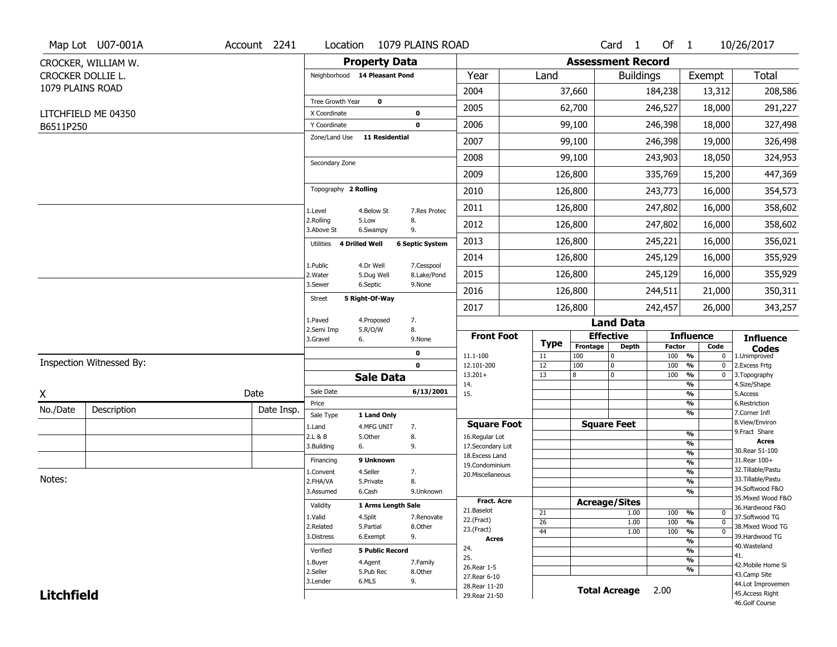|                   | Map Lot U07-001A         | Account 2241 | Location                           |                           | 1079 PLAINS ROAD          |                                  |                   |                 | Card <sub>1</sub>        | Of 1                 |                          | 10/26/2017                            |
|-------------------|--------------------------|--------------|------------------------------------|---------------------------|---------------------------|----------------------------------|-------------------|-----------------|--------------------------|----------------------|--------------------------|---------------------------------------|
|                   | CROCKER, WILLIAM W.      |              |                                    | <b>Property Data</b>      |                           |                                  |                   |                 | <b>Assessment Record</b> |                      |                          |                                       |
|                   | CROCKER DOLLIE L.        |              | Neighborhood 14 Pleasant Pond      |                           |                           | Year                             | Land              |                 | <b>Buildings</b>         |                      | Exempt                   | <b>Total</b>                          |
| 1079 PLAINS ROAD  |                          |              |                                    |                           |                           | 2004                             |                   | 37,660          |                          | 184,238              | 13,312                   | 208,586                               |
|                   |                          |              | Tree Growth Year                   | $\mathbf 0$               |                           | 2005                             |                   | 62,700          |                          | 246,527              | 18,000                   | 291,227                               |
|                   | LITCHFIELD ME 04350      |              | X Coordinate<br>Y Coordinate       |                           | 0<br>$\mathbf 0$          | 2006                             |                   | 99,100          |                          | 246,398              | 18,000                   | 327,498                               |
| B6511P250         |                          |              | Zone/Land Use                      | <b>11 Residential</b>     |                           |                                  |                   |                 |                          |                      |                          |                                       |
|                   |                          |              |                                    |                           |                           | 2007                             |                   | 99,100          |                          | 246,398              | 19,000                   | 326,498                               |
|                   |                          |              | Secondary Zone                     |                           |                           | 2008                             |                   | 99,100          |                          | 243,903              | 18,050                   | 324,953                               |
|                   |                          |              |                                    |                           |                           | 2009                             |                   | 126,800         |                          | 335,769              | 15,200                   | 447,369                               |
|                   |                          |              | Topography 2 Rolling               |                           |                           | 2010                             |                   | 126,800         |                          | 243,773              | 16,000                   | 354,573                               |
|                   |                          |              | 1.Level                            | 4.Below St                | 7.Res Protec              | 2011                             |                   | 126,800         |                          | 247,802              | 16,000                   | 358,602                               |
|                   |                          |              | 2.Rolling<br>3.Above St            | 5.Low<br>6.Swampy         | 8.<br>9.                  | 2012                             |                   | 126,800         |                          | 247,802              | 16,000                   | 358,602                               |
|                   |                          |              | <b>4 Drilled Well</b><br>Utilities |                           | <b>6 Septic System</b>    | 2013                             |                   | 126,800         |                          | 245,221              | 16,000                   | 356,021                               |
|                   |                          |              |                                    |                           |                           | 2014                             |                   | 126,800         |                          | 245,129              | 16,000                   | 355,929                               |
|                   |                          |              | 1.Public<br>2.Water                | 4.Dr Well<br>5.Dug Well   | 7.Cesspool<br>8.Lake/Pond | 2015                             |                   | 126,800         |                          | 245,129              | 16,000                   | 355,929                               |
|                   |                          |              | 3.Sewer                            | 6.Septic                  | 9.None                    | 2016                             |                   | 126,800         |                          | 244,511              | 21,000                   | 350,311                               |
|                   |                          |              | <b>Street</b>                      | 5 Right-Of-Way            |                           | 2017                             |                   | 126,800         |                          | 242,457              | 26,000                   | 343,257                               |
|                   |                          |              | 1.Paved                            | 4.Proposed                | 7.                        |                                  |                   |                 | <b>Land Data</b>         |                      |                          |                                       |
|                   |                          |              | 2.Semi Imp<br>3.Gravel<br>6.       | 5.R/O/W                   | 8.<br>9.None              | <b>Front Foot</b>                |                   |                 | <b>Effective</b>         |                      | <b>Influence</b>         | <b>Influence</b>                      |
|                   |                          |              |                                    |                           | 0                         | 11.1-100                         | <b>Type</b><br>11 | Frontage<br>100 | <b>Depth</b><br>10       | <b>Factor</b><br>100 | Code<br>%<br>$\mathbf 0$ | <b>Codes</b><br>1.Unimproved          |
|                   | Inspection Witnessed By: |              |                                    |                           | $\mathbf 0$               | 12.101-200                       | 12                | 100             | 10                       | 100                  | %<br>0                   | 2.Excess Frtg                         |
|                   |                          |              |                                    | <b>Sale Data</b>          |                           | $13.201+$<br>14.                 | 13                | 8               | 0                        | 100                  | %<br>$\mathbf 0$<br>%    | 3. Topography<br>4.Size/Shape         |
| X                 |                          | Date         | Sale Date                          |                           | 6/13/2001                 | 15.                              |                   |                 |                          |                      | %                        | 5.Access                              |
| No./Date          | Description              | Date Insp.   | Price                              |                           |                           |                                  |                   |                 |                          |                      | %<br>%                   | 6.Restriction<br>7.Corner Infl        |
|                   |                          |              | Sale Type<br>1.Land                | 1 Land Only<br>4.MFG UNIT | 7.                        | <b>Square Foot</b>               |                   |                 | <b>Square Feet</b>       |                      |                          | 8.View/Environ                        |
|                   |                          |              | 2.L & B                            | 5.Other                   | 8.                        | 16.Regular Lot                   |                   |                 |                          |                      | %                        | 9.Fract Share                         |
|                   |                          |              | 3.Building<br>6.                   |                           | 9.                        | 17.Secondary Lot                 |                   |                 |                          |                      | %<br>$\frac{9}{6}$       | <b>Acres</b><br>30. Rear 51-100       |
|                   |                          |              | Financing                          | 9 Unknown                 |                           | 18.Excess Land<br>19.Condominium |                   |                 |                          |                      | $\frac{9}{6}$            | 31.Rear 100+                          |
|                   |                          |              |                                    | 4.Seller                  | 7.                        | 20.Miscellaneous                 |                   |                 |                          |                      | $\frac{9}{6}$            | 32. Tillable/Pastu                    |
| Notes:            |                          |              | 1.Convent                          |                           |                           |                                  |                   |                 |                          |                      |                          | 33. Tillable/Pastu                    |
|                   |                          |              | 2.FHA/VA                           | 5.Private                 | 8.                        |                                  |                   |                 |                          |                      | $\frac{9}{6}$            |                                       |
|                   |                          |              | 3.Assumed                          | 6.Cash                    | 9.Unknown                 |                                  |                   |                 |                          |                      | %                        | 34.Softwood F&O<br>35. Mixed Wood F&O |
|                   |                          |              | Validity                           | 1 Arms Length Sale        |                           | Fract. Acre                      |                   |                 | <b>Acreage/Sites</b>     |                      |                          | 36.Hardwood F&O                       |
|                   |                          |              | 1.Valid                            | 4.Split                   | 7.Renovate                | 21.Baselot<br>22.(Fract)         | 21                |                 | 1.00                     | 100                  | %<br>0<br>$\mathbf 0$    | 37.Softwood TG                        |
|                   |                          |              | 2.Related                          | 5.Partial                 | 8.Other                   | 23.(Fract)                       | 26<br>44          |                 | 1.00<br>1.00             | 100<br>100           | %<br>%<br>$\mathbf 0$    | 38. Mixed Wood TG                     |
|                   |                          |              | 3.Distress                         | 6.Exempt                  | 9.                        | Acres                            |                   |                 |                          |                      | $\frac{9}{6}$            | 39.Hardwood TG                        |
|                   |                          |              | Verified                           | <b>5 Public Record</b>    |                           | 24.                              |                   |                 |                          |                      | %                        | 40. Wasteland<br>41.                  |
|                   |                          |              | 1.Buyer                            | 4.Agent                   | 7.Family                  | 25.<br>26. Rear 1-5              |                   |                 |                          |                      | $\frac{9}{6}$            | 42. Mobile Home Si                    |
|                   |                          |              | 2.Seller                           | 5.Pub Rec                 | 8.Other                   | 27. Rear 6-10                    |                   |                 |                          |                      | %                        | 43.Camp Site                          |
| <b>Litchfield</b> |                          |              | 3.Lender                           | 6.MLS                     | 9.                        | 28. Rear 11-20<br>29. Rear 21-50 |                   |                 | <b>Total Acreage</b>     | 2.00                 |                          | 44.Lot Improvemen<br>45.Access Right  |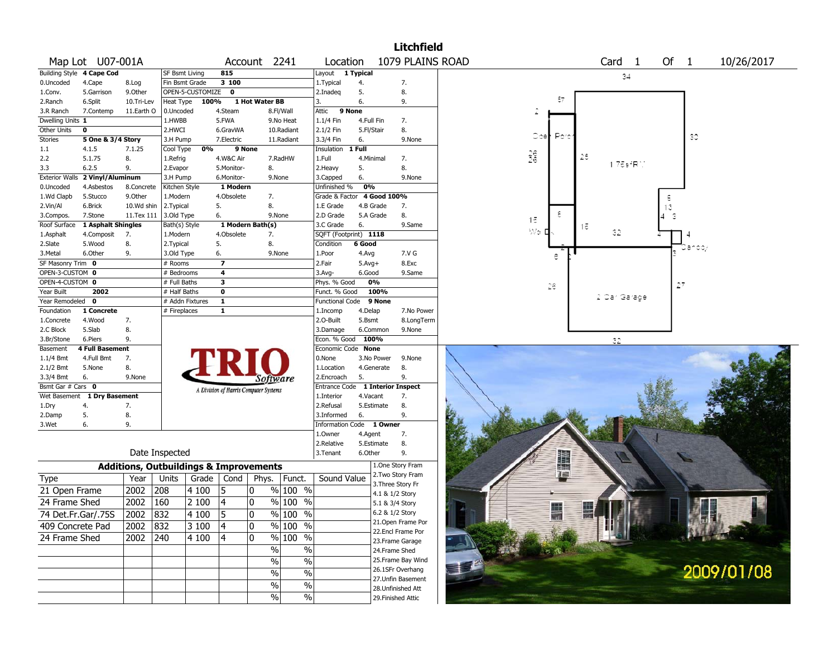|                       |                           |            |                       |                  |                         |                                                   |                     |                            |            |            | <b>Litchfield</b>                      |                                            |
|-----------------------|---------------------------|------------|-----------------------|------------------|-------------------------|---------------------------------------------------|---------------------|----------------------------|------------|------------|----------------------------------------|--------------------------------------------|
|                       | Map Lot U07-001A          |            |                       |                  |                         | Account 2241                                      |                     | Location                   |            |            | 1079 PLAINS ROAD                       | Card <sub>1</sub><br>Of 1<br>10/26/2017    |
|                       | Building Style 4 Cape Cod |            | <b>SF Bsmt Living</b> |                  | 815                     |                                                   |                     | Layout                     | 1 Typical  |            |                                        | 34                                         |
| 0.Uncoded             | 4.Cape                    | 8.Log      | Fin Bsmt Grade        |                  | 3100                    |                                                   |                     | 1.Typical                  | 4.         |            | 7.                                     |                                            |
| 1.Conv.               | 5.Garrison                | 9.Other    |                       | OPEN-5-CUSTOMIZE | $\mathbf 0$             |                                                   |                     | 2.Inadeq                   | 5.         |            | 8.                                     |                                            |
| 2.Ranch               | 6.Split                   | 10.Tri-Lev | Heat Type             | 100%             |                         | 1 Hot Water BB                                    |                     | 3.                         | 6.         |            | 9.                                     | 87                                         |
| 3.R Ranch             | 7.Contemp                 | 11.Earth O | 0.Uncoded             |                  | 4.Steam                 |                                                   | 8.Fl/Wall           | Attic                      | 9 None     |            |                                        | £.                                         |
| Dwelling Units 1      |                           |            | 1.HWBB                |                  | 5.FWA                   |                                                   | 9.No Heat           | 1.1/4 Fin                  | 4.Full Fin |            | 7.                                     |                                            |
| Other Units           | 0                         |            | 2.HWCI                |                  | 6.GravWA                |                                                   | 10.Radiant          | 2.1/2 Fin                  | 5.Fl/Stair |            | 8.                                     | ⊜≎e⊩<br>Port:<br>30                        |
| Stories               | 5 One & 3/4 Story         |            | 3.H Pump              |                  | 7.Electric              |                                                   | 11.Radiant          | 3.3/4 Fin                  | 6.         |            | 9.None                                 |                                            |
| 1.1                   | 4.1.5                     | 7.1.25     | Cool Type             | 0%               | 9 None                  |                                                   |                     | Insulation                 | 1 Full     |            |                                        |                                            |
| 2.2                   | 5.1.75                    | 8.         | 1.Refrig              |                  | 4.W&C Air               |                                                   | 7.RadHW             | 1.Full                     |            | 4.Minimal  | 7.                                     | $\frac{26}{26}$<br>28<br>$1.75$ si $R$ 1.  |
| 3.3                   | 6.2.5                     | 9.         | 2.Evapor              |                  | 5.Monitor-              | 8.                                                |                     | 2.Heavy                    | 5.         |            | 8.                                     |                                            |
| <b>Exterior Walls</b> | 2 Vinyl/Aluminum          |            | 3.H Pump              |                  | 6.Monitor-              | 9.None                                            |                     | 3.Capped                   | 6.         |            | 9.None                                 |                                            |
| 0.Uncoded             | 4.Asbestos                | 8.Concrete | Kitchen Style         |                  | 1 Modern                |                                                   |                     | Unfinished %               | 0%         |            |                                        |                                            |
| 1.Wd Clapb            | 5.Stucco                  | 9.Other    | 1.Modern              |                  | 4.Obsolete              | 7.                                                |                     | Grade & Factor 4 Good 100% |            |            |                                        | $rac{6}{13}$                               |
| 2.Vin/Al              | 6.Brick                   | 10.Wd shin | 2.Typical             |                  | 5.                      | 8.                                                |                     | 1.E Grade                  |            | 4.B Grade  | 7.                                     |                                            |
| 3.Compos.             | 7.Stone                   | 11.Tex 111 | 3.Old Type            |                  | 6.                      | 9.None                                            |                     | 2.D Grade                  |            | 5.A Grade  | 8.                                     | ٤<br>-3<br>15                              |
| Roof Surface          | 1 Asphalt Shingles        |            | Bath(s) Style         |                  |                         | 1 Modern Bath(s)                                  |                     | 3.C Grade                  | 6.         |            | 9.Same                                 | 15<br>$\mathbb{W} \circ \mathbb{I}$<br>32. |
| 1.Asphalt             | 4.Composit                | 7.         | 1.Modern              |                  | 4.Obsolete              | 7.                                                |                     | SQFT (Footprint) 1118      |            |            |                                        |                                            |
| 2.Slate               | 5.Wood                    | 8.         | 2. Typical            |                  | 5.                      | 8.                                                |                     | Condition                  | 6 Good     |            |                                        | lando,                                     |
| 3.Metal               | 6.Other                   | 9.         | 3.Old Type            |                  | 6.                      | 9.None                                            |                     | 1.Poor                     | 4.Avg      |            | 7.V G                                  | ê                                          |
| SF Masonry Trim 0     |                           |            | # Rooms               |                  | $\overline{7}$          |                                                   |                     | 2.Fair                     | $5.Avg+$   |            | 8.Exc                                  |                                            |
| OPEN-3-CUSTOM 0       |                           |            | # Bedrooms            |                  | 4                       |                                                   |                     | $3.$ Avg-                  | 6.Good     |            | 9.Same                                 |                                            |
| OPEN-4-CUSTOM 0       |                           |            | # Full Baths          |                  | $\overline{\mathbf{3}}$ |                                                   |                     | Phys. % Good               |            | 0%         |                                        | 27<br>Ž€                                   |
| Year Built            | 2002                      |            | # Half Baths          |                  | $\overline{\mathbf{0}}$ |                                                   |                     | Funct. % Good              |            | 100%       |                                        | 2 Car Garage                               |
| Year Remodeled 0      |                           |            |                       | # Addn Fixtures  | $\mathbf{1}$            |                                                   |                     | <b>Functional Code</b>     |            | 9 None     |                                        |                                            |
| Foundation            | 1 Concrete                |            | # Fireplaces          |                  | $\mathbf{1}$            |                                                   |                     | 1.Incomp                   | 4.Delap    |            | 7.No Power                             |                                            |
| 1.Concrete            | 4.Wood                    | 7.         |                       |                  |                         |                                                   |                     | 2.0-Built                  | 5.Bsmt     |            | 8.LongTerm                             |                                            |
| 2.C Block             | 5.Slab                    | 8.         |                       |                  |                         |                                                   |                     | 3.Damage                   |            | 6.Common   | 9.None                                 |                                            |
| 3.Br/Stone            | 6.Piers                   | 9.         |                       |                  |                         |                                                   |                     | Econ. % Good               |            | 100%       |                                        | 32                                         |
| Basement              | <b>4 Full Basement</b>    |            |                       |                  |                         |                                                   |                     | Economic Code None         |            |            |                                        |                                            |
| 1.1/4 Bmt             | 4.Full Bmt                | 7.         |                       |                  |                         |                                                   |                     | 0.None                     |            | 3.No Power | 9.None                                 |                                            |
| $2.1/2$ Bmt           | 5.None                    | 8.         |                       |                  |                         |                                                   |                     | 1.Location                 |            | 4.Generate | 8.                                     |                                            |
| 3.3/4 Bmt             | 6.                        | 9.None     |                       |                  |                         | Software                                          |                     | 2.Encroach                 | 5.         |            | 9.                                     |                                            |
| Bsmt Gar # Cars 0     |                           |            |                       |                  |                         | A Division of Harris Computer Systems             |                     | Entrance Code              |            |            | 1 Interior Inspect                     |                                            |
| Wet Basement          | 1 Dry Basement            |            |                       |                  |                         |                                                   |                     | 1.Interior                 | 4.Vacant   |            | 7.                                     |                                            |
| 1.Dry                 | 4.                        | 7.         |                       |                  |                         |                                                   |                     | 2.Refusal                  |            | 5.Estimate | 8.                                     |                                            |
| 2.Damp                | 5.<br>6.                  | 8.<br>9.   |                       |                  |                         |                                                   |                     | 3.Informed                 | 6.         |            | 9.                                     |                                            |
| 3.Wet                 |                           |            |                       |                  |                         |                                                   |                     | Information<br>1.Owner     | Code       | 1 Owner    |                                        |                                            |
|                       |                           |            |                       |                  |                         |                                                   |                     | 2.Relative                 | 4.Agent    | 5.Estimate | 7.                                     |                                            |
|                       |                           |            | Date Inspected        |                  |                         |                                                   |                     | 3.Tenant                   | 6.Other    |            | 8.<br>9.                               |                                            |
|                       |                           |            |                       |                  |                         |                                                   |                     |                            |            |            | 1.One Story Fram                       | 諿                                          |
|                       |                           |            |                       |                  |                         | <b>Additions, Outbuildings &amp; Improvements</b> |                     |                            |            |            | 2. Two Story Fram                      | 語語<br>一篇                                   |
| Type                  |                           | Year       | Units<br>208          | Grade            | Cond<br>15              | Phys.<br>0                                        | Funct.              | Sound Value                |            |            | 3. Three Story Fr                      |                                            |
| 21 Open Frame         |                           | 2002       |                       | 4 100            |                         | $\frac{0}{0}$                                     | 100 %               |                            |            |            | 4.1 & 1/2 Story                        |                                            |
| 24 Frame Shed         |                           | 2002       | 160                   | 2 100            | 4                       | 10                                                | $%100$ %            |                            |            |            | 5.1 & 3/4 Story                        | E                                          |
| 74 Det.Fr.Gar/.75S    |                           | 2002 832   |                       | 4100             | $\sqrt{5}$              | 0                                                 | $\frac{9}{6}$ 100 % |                            |            |            | 6.2 & 1/2 Story                        |                                            |
| 409 Concrete Pad      |                           | 2002       | 832                   | 3 100            | 4                       | 10                                                | % 100 %             |                            |            |            | 21.Open Frame Por<br>22.Encl Frame Por |                                            |
| 24 Frame Shed         |                           | 2002       | 240                   | 4 100            | 4                       | 0                                                 | % 100 %             |                            |            |            | 23. Frame Garage                       |                                            |
|                       |                           |            |                       |                  |                         | $\%$                                              | $\%$                |                            |            |            | 24.Frame Shed                          |                                            |
|                       |                           |            |                       |                  |                         | $\%$                                              | %                   |                            |            |            | 25. Frame Bay Wind                     |                                            |
|                       |                           |            |                       |                  |                         | $\%$                                              | $\frac{1}{2}$       |                            |            |            | 26.1SFr Overhang                       | 2009/01/08                                 |
|                       |                           |            |                       |                  |                         |                                                   |                     |                            |            |            | 27.Unfin Basement                      |                                            |
|                       |                           |            |                       |                  |                         | $\%$                                              | $\%$                |                            |            |            | 28. Unfinished Att                     |                                            |
|                       |                           |            |                       |                  |                         | $\%$                                              | $\%$                |                            |            |            | 29. Finished Attic                     |                                            |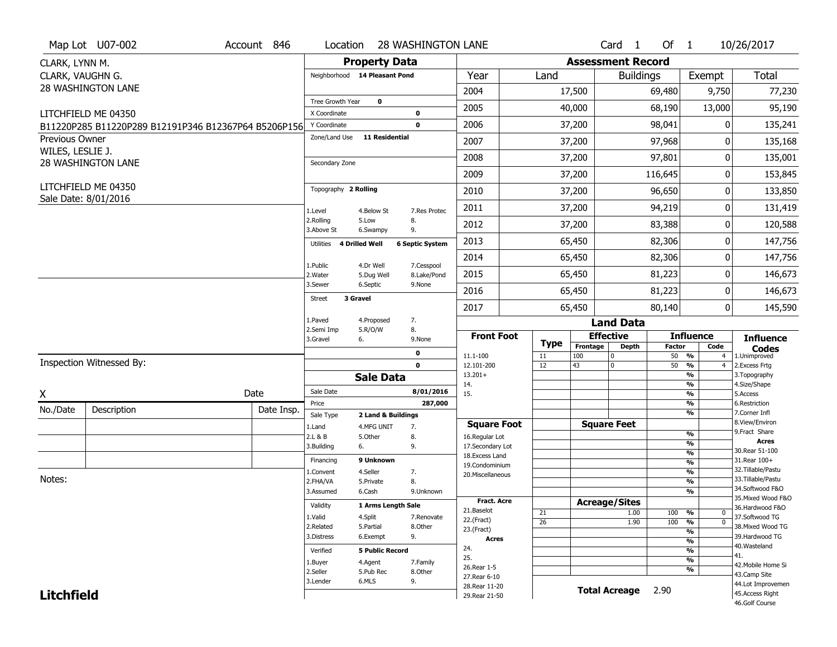|                                    | Map Lot U07-002                                      | Account 846 |            | Location                |                               | <b>28 WASHINGTON LANE</b>            |                                    |             |                          | Card <sub>1</sub>    | Of 1          |                                                           | 10/26/2017                         |
|------------------------------------|------------------------------------------------------|-------------|------------|-------------------------|-------------------------------|--------------------------------------|------------------------------------|-------------|--------------------------|----------------------|---------------|-----------------------------------------------------------|------------------------------------|
| CLARK, LYNN M.                     |                                                      |             |            |                         | <b>Property Data</b>          |                                      |                                    |             | <b>Assessment Record</b> |                      |               |                                                           |                                    |
| CLARK, VAUGHN G.                   |                                                      |             |            |                         | Neighborhood 14 Pleasant Pond |                                      | Year                               | Land        |                          | <b>Buildings</b>     |               | Exempt                                                    | <b>Total</b>                       |
|                                    | <b>28 WASHINGTON LANE</b>                            |             |            |                         |                               |                                      | 2004                               |             | 17,500                   |                      | 69,480        | 9,750                                                     | 77,230                             |
|                                    |                                                      |             |            | Tree Growth Year        | $\mathbf 0$                   |                                      | 2005                               |             | 40,000                   |                      | 68,190        | 13,000                                                    | 95,190                             |
|                                    | LITCHFIELD ME 04350                                  |             |            | X Coordinate            |                               | $\mathbf 0$                          |                                    |             |                          |                      |               |                                                           |                                    |
|                                    | B11220P285 B11220P289 B12191P346 B12367P64 B5206P156 |             |            | Y Coordinate            |                               | $\mathbf 0$<br><b>11 Residential</b> | 2006                               |             | 37,200                   |                      | 98,041        | 0                                                         | 135,241                            |
| Previous Owner<br>WILES, LESLIE J. |                                                      |             |            | Zone/Land Use           |                               |                                      | 2007                               |             | 37,200                   |                      | 97,968        | 0                                                         | 135,168                            |
|                                    | 28 WASHINGTON LANE                                   |             |            | Secondary Zone          |                               |                                      | 2008                               |             | 37,200                   |                      | 97,801        | 0                                                         | 135,001                            |
|                                    |                                                      |             |            |                         |                               |                                      | 2009                               |             | 37,200                   |                      | 116,645       | 0                                                         | 153,845                            |
|                                    | LITCHFIELD ME 04350                                  |             |            | Topography 2 Rolling    |                               |                                      | 2010                               |             | 37,200                   |                      | 96,650        | 0                                                         | 133,850                            |
|                                    | Sale Date: 8/01/2016                                 |             |            | 1.Level                 | 4.Below St                    | 7.Res Protec                         | 2011                               |             | 37,200                   |                      | 94,219        | 0                                                         | 131,419                            |
|                                    |                                                      |             |            | 2.Rolling<br>3.Above St | 5.Low<br>6.Swampy             | 8.<br>9.                             | 2012                               |             | 37,200                   |                      | 83,388        | 0                                                         | 120,588                            |
|                                    |                                                      |             |            | Utilities               | 4 Drilled Well                | <b>6 Septic System</b>               | 2013                               |             | 65,450                   |                      | 82,306        | 0                                                         | 147,756                            |
|                                    |                                                      |             |            | 1.Public                | 4.Dr Well                     | 7.Cesspool                           | 2014                               |             | 65,450                   |                      | 82,306        | 0                                                         | 147,756                            |
|                                    |                                                      |             |            | 2. Water                | 5.Dug Well                    | 8.Lake/Pond                          | 2015                               |             | 65,450                   |                      | 81,223        | 0                                                         | 146,673                            |
|                                    |                                                      |             |            | 3.Sewer                 | 6.Septic                      | 9.None                               | 2016                               |             | 65,450                   |                      | 81,223        | 0                                                         | 146,673                            |
|                                    |                                                      |             |            | <b>Street</b>           | 3 Gravel                      |                                      | 2017                               |             | 65,450                   |                      | 80,140        | 0                                                         | 145,590                            |
|                                    |                                                      |             |            | 1.Paved                 | 4.Proposed                    |                                      |                                    |             |                          |                      |               |                                                           |                                    |
|                                    |                                                      |             |            |                         |                               | 7.                                   |                                    |             |                          | <b>Land Data</b>     |               |                                                           |                                    |
|                                    |                                                      |             |            | 2.Semi Imp<br>3.Gravel  | 5.R/O/W<br>6.                 | 8.<br>9.None                         | <b>Front Foot</b>                  |             |                          | <b>Effective</b>     |               | <b>Influence</b>                                          | <b>Influence</b>                   |
|                                    |                                                      |             |            |                         |                               | 0                                    |                                    | <b>Type</b> | Frontage                 | <b>Depth</b>         | <b>Factor</b> | Code                                                      | <b>Codes</b>                       |
|                                    | Inspection Witnessed By:                             |             |            |                         |                               | $\mathbf 0$                          | 11.1-100<br>12.101-200             | 11<br>12    | 100<br>43                | 0<br>0               | 50            | 50 %<br>$\overline{4}$<br>$\frac{9}{6}$<br>$\overline{4}$ | 1.Unimproved<br>2.Excess Frtg      |
|                                    |                                                      |             |            |                         | <b>Sale Data</b>              |                                      | $13.201+$                          |             |                          |                      |               | %                                                         | 3. Topography                      |
|                                    |                                                      | Date        |            | Sale Date               |                               | 8/01/2016                            | 14.<br>15.                         |             |                          |                      |               | %<br>$\frac{9}{6}$                                        | 4.Size/Shape<br>5.Access           |
| X                                  |                                                      |             |            | Price                   |                               | 287,000                              |                                    |             |                          |                      |               | %                                                         | 6.Restriction                      |
| No./Date                           | Description                                          |             | Date Insp. | Sale Type               |                               | 2 Land & Buildings                   |                                    |             |                          |                      |               | %                                                         | 7.Corner Infl                      |
|                                    |                                                      |             |            | 1.Land                  | 4.MFG UNIT                    | 7.                                   | <b>Square Foot</b>                 |             |                          | <b>Square Feet</b>   |               | $\frac{9}{6}$                                             | 8.View/Environ<br>9. Fract Share   |
|                                    |                                                      |             |            | 2.L & B<br>3.Building   | 5.Other<br>6.                 | 8.<br>9.                             | 16.Regular Lot<br>17.Secondary Lot |             |                          |                      |               | $\frac{9}{6}$                                             | <b>Acres</b>                       |
|                                    |                                                      |             |            |                         |                               |                                      | 18.Excess Land                     |             |                          |                      |               | $\frac{9}{6}$                                             | 30. Rear 51-100                    |
|                                    |                                                      |             |            | Financing               | 9 Unknown                     |                                      | 19.Condominium                     |             |                          |                      |               | $\frac{9}{6}$                                             | 31.Rear 100+<br>32.Tillable/Pastu  |
| Notes:                             |                                                      |             |            | 1.Convent<br>2.FHA/VA   | 4.Seller<br>5.Private         | 7.<br>8.                             | 20.Miscellaneous                   |             |                          |                      |               | $\frac{9}{6}$<br>$\frac{9}{6}$                            | 33. Tillable/Pastu                 |
|                                    |                                                      |             |            | 3.Assumed               | 6.Cash                        | 9.Unknown                            |                                    |             |                          |                      |               | $\frac{9}{6}$                                             | 34.Softwood F&O                    |
|                                    |                                                      |             |            | Validity                |                               | 1 Arms Length Sale                   | <b>Fract. Acre</b>                 |             |                          | <b>Acreage/Sites</b> |               |                                                           | 35. Mixed Wood F&O                 |
|                                    |                                                      |             |            | 1.Valid                 | 4.Split                       | 7.Renovate                           | 21.Baselot                         | 21          |                          | 1.00                 | 100           | %<br>0                                                    | 36.Hardwood F&O<br>37.Softwood TG  |
|                                    |                                                      |             |            | 2.Related               | 5.Partial                     | 8.Other                              | 22.(Fract)                         | 26          |                          | 1.90                 | 100           | %<br>$\mathbf 0$                                          | 38. Mixed Wood TG                  |
|                                    |                                                      |             |            | 3.Distress              | 6.Exempt                      | 9.                                   | 23.(Fract)<br><b>Acres</b>         |             |                          |                      |               | $\frac{9}{6}$                                             | 39.Hardwood TG                     |
|                                    |                                                      |             |            | Verified                |                               | <b>5 Public Record</b>               | 24.                                |             |                          |                      |               | $\frac{9}{6}$<br>$\frac{9}{6}$                            | 40. Wasteland                      |
|                                    |                                                      |             |            |                         |                               |                                      | 25.                                |             |                          |                      |               | $\frac{9}{6}$                                             | 41.                                |
|                                    |                                                      |             |            | 1.Buyer<br>2.Seller     | 4.Agent<br>5.Pub Rec          | 7.Family<br>8.Other                  | 26.Rear 1-5                        |             |                          |                      |               | %                                                         | 42. Mobile Home Si                 |
|                                    |                                                      |             |            | 3.Lender                | 6.MLS                         | 9.                                   | 27. Rear 6-10                      |             |                          |                      |               |                                                           | 43.Camp Site<br>44.Lot Improvemen  |
| <b>Litchfield</b>                  |                                                      |             |            |                         |                               |                                      | 28. Rear 11-20<br>29. Rear 21-50   |             |                          | <b>Total Acreage</b> | 2.90          |                                                           | 45. Access Right<br>46.Golf Course |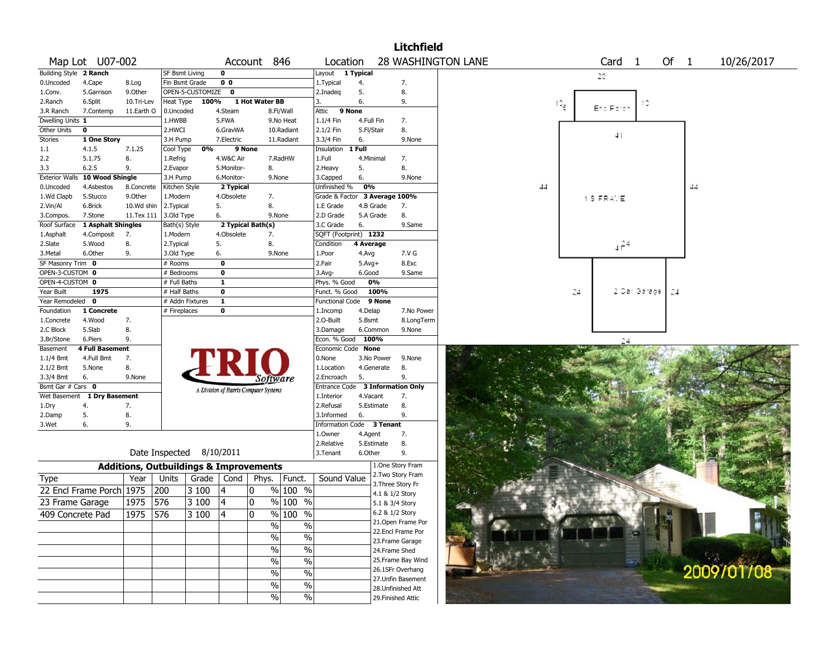|                        |                          |            |                                                                         |                                       |                   |                          |                                  |            |                 | <b>Litchfield</b>  |                           |    |                 |                   |              |      |            |  |
|------------------------|--------------------------|------------|-------------------------------------------------------------------------|---------------------------------------|-------------------|--------------------------|----------------------------------|------------|-----------------|--------------------|---------------------------|----|-----------------|-------------------|--------------|------|------------|--|
|                        | Map Lot U07-002          |            |                                                                         |                                       | Account 846       |                          | Location                         |            |                 |                    | <b>28 WASHINGTON LANE</b> |    |                 | Card <sub>1</sub> |              | Of 1 | 10/26/2017 |  |
| Building Style 2 Ranch |                          |            | SF Bsmt Living                                                          | $\mathbf 0$                           |                   |                          | Layout                           | 1 Typical  |                 |                    |                           |    |                 | 20                |              |      |            |  |
| 0.Uncoded              | 4.Cape                   | 8.Log      | Fin Bsmt Grade                                                          | 0 <sub>0</sub>                        |                   |                          | 1. Typical                       | 4.         |                 | 7.                 |                           |    |                 |                   |              |      |            |  |
| 1.Conv.                | 5.Garrison               | 9.0ther    | OPEN-5-CUSTOMIZE                                                        | $\mathbf 0$                           |                   |                          | 2.Inadeq                         | 5.         |                 | 8.                 |                           |    |                 |                   |              |      |            |  |
| 2.Ranch                | 6.Split                  | 10.Tri-Lev | Heat Type                                                               | 100%                                  | 1 Hot Water BB    |                          | 3.                               | 6.         |                 | 9.                 |                           |    | 10 <sub>8</sub> |                   | 13           |      |            |  |
| 3.R Ranch              | 7.Contemp                | 11.Earth O | 0.Uncoded                                                               | 4.Steam                               |                   | 8.Fl/Wall                | Attic                            | 9 None     |                 |                    |                           |    |                 | End Porch         |              |      |            |  |
| Dwelling Units 1       |                          |            | 1.HWBB                                                                  | 5.FWA                                 |                   | 9.No Heat                | 1.1/4 Fin                        | 4.Full Fin |                 | 7.                 |                           |    |                 |                   |              |      |            |  |
| Other Units            | $\mathbf 0$              |            | 2.HWCI                                                                  | 6.GravWA                              |                   | 10.Radiant               | 2.1/2 Fin                        | 5.Fl/Stair |                 | 8.                 |                           |    |                 | 41                |              |      |            |  |
| Stories                | 1 One Story              |            | 3.H Pump                                                                | 7.Electric                            |                   | 11.Radiant               | 3.3/4 Fin                        | 6.         |                 | 9.None             |                           |    |                 |                   |              |      |            |  |
| 1.1                    | 4.1.5                    | 7.1.25     | Cool Type<br>0%                                                         |                                       | 9 None            |                          | Insulation 1 Full                |            |                 |                    |                           |    |                 |                   |              |      |            |  |
| 2.2                    | 5.1.75                   | 8.         | 1.Refrig                                                                | 4.W&C Air                             |                   | 7.RadHW                  | 1.Full                           | 4.Minimal  |                 | 7.                 |                           |    |                 |                   |              |      |            |  |
| 3.3                    | 6.2.5                    | 9.         | 2.Evapor                                                                | 5.Monitor-                            | 8.                |                          | 2. Heavy                         | 5.         |                 | 8.                 |                           |    |                 |                   |              |      |            |  |
| <b>Exterior Walls</b>  | 10 Wood Shingle          |            | 3.H Pump                                                                | 6.Monitor-                            | 9.None            |                          | 3.Capped                         | 6.         |                 | 9.None             |                           |    |                 |                   |              |      |            |  |
| 0.Uncoded              | 4.Asbestos               | 8.Concrete | Kitchen Style                                                           | 2 Typical                             |                   |                          | Unfinished %                     | 0%         |                 |                    |                           | 44 |                 |                   |              | 44   |            |  |
| 1.Wd Clapb             | 5.Stucco                 | 9.Other    | 1.Modern                                                                | 4.Obsolete                            | 7.                |                          | Grade & Factor 3 Average 100%    |            |                 |                    |                           |    |                 | 1 S FRAME         |              |      |            |  |
| 2.Vin/Al               | 6.Brick                  | 10.Wd shin | 2.Typical                                                               | 5.                                    | 8.                |                          | 1.E Grade                        | 4.B Grade  |                 | 7.                 |                           |    |                 |                   |              |      |            |  |
| 3.Compos.              | 7.Stone                  | 11.Tex 111 | 3.0ld Type                                                              | 6.                                    | 9.None            |                          | 2.D Grade                        |            | 5.A Grade       | 8.                 |                           |    |                 |                   |              |      |            |  |
| Roof Surface           | 1 Asphalt Shingles       |            | Bath(s) Style                                                           |                                       | 2 Typical Bath(s) |                          | 3.C Grade                        | 6.         |                 | 9.Same             |                           |    |                 |                   |              |      |            |  |
| 1.Asphalt              | 4.Composit               | 7.         | 1.Modern                                                                | 4.Obsolete                            | 7.                |                          | SQFT (Footprint) 1232            |            |                 |                    |                           |    |                 |                   |              |      |            |  |
| 2.Slate                | 5.Wood                   | 8.         | 2.Typical                                                               | 5.                                    | 8.                |                          | Condition                        | 4 Average  |                 |                    |                           |    |                 | $4f^{24}$         |              |      |            |  |
| 3.Metal                | 6.Other                  | 9.         | 3.Old Type                                                              | 6.                                    | 9.None            |                          | 1.Poor                           | 4.Avg      |                 | 7.V G              |                           |    |                 |                   |              |      |            |  |
| SF Masonry Trim 0      |                          |            | # Rooms                                                                 | 0                                     |                   |                          | 2.Fair                           | $5.Avg+$   |                 | 8.Exc              |                           |    |                 |                   |              |      |            |  |
| OPEN-3-CUSTOM 0        |                          |            | # Bedrooms                                                              | $\mathbf 0$                           |                   |                          | $3.$ Avg-                        | 6.Good     |                 | 9.Same             |                           |    |                 |                   |              |      |            |  |
| OPEN-4-CUSTOM 0        |                          |            | # Full Baths                                                            | $\mathbf{1}$                          |                   |                          | Phys. % Good                     |            | 0%              |                    |                           |    |                 |                   |              |      |            |  |
| Year Built             | 1975                     |            | # Half Baths                                                            | $\mathbf 0$                           |                   |                          | Funct. % Good                    |            | 100%            |                    |                           |    | 24              |                   | 2 Car Garage | 24   |            |  |
| Year Remodeled 0       |                          |            | # Addn Fixtures                                                         | $\mathbf{1}$                          |                   |                          | Functional Code                  |            | 9 None          |                    |                           |    |                 |                   |              |      |            |  |
| Foundation             | 1 Concrete               |            | # Fireplaces                                                            | $\mathbf 0$                           |                   |                          | 1.Incomp                         | 4.Delap    |                 | 7.No Power         |                           |    |                 |                   |              |      |            |  |
| 1.Concrete             | 4.Wood                   | 7.         |                                                                         |                                       |                   |                          | 2.O-Built                        | 5.Bsmt     |                 | 8.LongTerm         |                           |    |                 |                   |              |      |            |  |
| 2.C Block              | 5.Slab                   | 8.         |                                                                         |                                       |                   |                          | 3.Damage                         |            | 6.Common        | 9.None             |                           |    |                 |                   |              |      |            |  |
| 3.Br/Stone             | 6.Piers                  | 9.         |                                                                         |                                       |                   |                          | Econ. % Good                     | 100%       |                 |                    |                           |    |                 | 24                |              |      |            |  |
| Basement               | <b>4 Full Basement</b>   |            |                                                                         |                                       |                   |                          | Economic Code None               |            |                 |                    |                           |    |                 |                   |              |      |            |  |
| 1.1/4 Bmt              | 4.Full Bmt               | 7.         |                                                                         | PRIC                                  |                   |                          | 0.None                           |            | 3.No Power      | 9.None             |                           |    |                 |                   |              |      |            |  |
| 2.1/2 Bmt              | 5.None                   | 8.         |                                                                         |                                       |                   |                          | 1.Location                       |            | 4.Generate      | 8.                 |                           |    |                 |                   |              |      |            |  |
| 3.3/4 Bmt              | 6.                       | 9.None     |                                                                         |                                       |                   |                          | 2.Encroach                       | 5.         |                 | 9.                 |                           |    |                 |                   |              |      |            |  |
| Bsmt Gar # Cars 0      |                          |            |                                                                         |                                       | Software          |                          | Entrance Code 3 Information Only |            |                 |                    |                           |    |                 |                   |              |      |            |  |
| Wet Basement           | 1 Dry Basement           |            |                                                                         | A Division of Harris Computer Systems |                   |                          | 1.Interior                       | 4.Vacant   |                 | 7.                 |                           |    |                 |                   |              |      |            |  |
| 1.Dry                  | 4.                       | 7.         |                                                                         |                                       |                   |                          | 2.Refusal                        |            | 5.Estimate      | 8.                 |                           |    |                 |                   |              |      |            |  |
| 2.Damp                 | 5.                       | 8.         |                                                                         |                                       |                   |                          | 3.Informed                       | 6.         |                 | 9.                 |                           |    |                 |                   |              |      |            |  |
| 3.Wet                  | 6.                       | 9.         |                                                                         |                                       |                   |                          | Information Code 3 Tenant        |            |                 |                    |                           |    |                 |                   |              |      |            |  |
|                        |                          |            |                                                                         |                                       |                   |                          | 1.Owner                          |            |                 | 7.                 |                           |    |                 |                   |              |      |            |  |
|                        |                          |            |                                                                         |                                       |                   |                          | 2.Relative                       | 4.Agent    | 5.Estimate      | 8.                 |                           |    |                 |                   |              |      |            |  |
|                        |                          |            | Date Inspected 8/10/2011                                                |                                       |                   |                          |                                  | 6.Other    |                 | 9.                 |                           |    |                 |                   |              |      |            |  |
|                        |                          |            |                                                                         |                                       |                   |                          | 3.Tenant                         |            |                 | 1.One Story Fram   |                           |    |                 |                   |              |      |            |  |
|                        |                          |            | <b>Additions, Outbuildings &amp; Improvements</b><br>Grade $ $<br>Units | Cond                                  |                   | Phys. Funct.             | Sound Value                      |            |                 | 2. Two Story Fram  |                           |    |                 |                   |              |      |            |  |
| <b>Type</b>            |                          | Year       |                                                                         |                                       |                   |                          |                                  |            |                 | 3. Three Story Fr  |                           |    |                 |                   |              |      |            |  |
|                        | 22 Encl Frame Porch 1975 |            | 200<br>3 100                                                            | 14                                    | 10                | $%100$ %                 |                                  |            | 4.1 & 1/2 Story |                    |                           |    |                 |                   |              |      |            |  |
| 23 Frame Garage        |                          | 1975       | 576<br>3 100                                                            | 4                                     | 10                | $%100$ %                 |                                  |            | 5.1 & 3/4 Story |                    |                           |    |                 |                   |              |      |            |  |
|                        | 409 Concrete Pad         | 1975 576   | 3 100                                                                   | 14                                    | ١o                | $\frac{9}{6}$ 100 %      |                                  |            | 6.2 & 1/2 Story |                    |                           |    |                 |                   |              |      |            |  |
|                        |                          |            |                                                                         |                                       |                   |                          |                                  |            |                 | 21. Open Frame Por |                           |    |                 |                   |              |      |            |  |
|                        |                          |            |                                                                         |                                       | $\overline{\%}$   | $\%$                     |                                  |            |                 | 22.Encl Frame Por  |                           |    |                 |                   |              |      |            |  |
|                        |                          |            |                                                                         |                                       | $\%$              | $\%$                     |                                  |            |                 | 23.Frame Garage    |                           |    |                 |                   |              |      |            |  |
|                        |                          |            |                                                                         |                                       | $\%$              | $\%$                     |                                  |            | 24.Frame Shed   |                    |                           |    |                 |                   |              |      |            |  |
|                        |                          |            |                                                                         |                                       | $\%$              | $\overline{\frac{0}{0}}$ |                                  |            |                 | 25. Frame Bay Wind |                           |    |                 |                   |              |      |            |  |
|                        |                          |            |                                                                         |                                       |                   |                          |                                  |            |                 | 26.1SFr Overhang   |                           |    |                 |                   |              |      | 2009/01/08 |  |
|                        |                          |            |                                                                         |                                       | $\%$              | $\overline{\frac{0}{0}}$ |                                  |            |                 | 27.Unfin Basement  |                           |    |                 |                   |              |      |            |  |
|                        |                          |            |                                                                         |                                       | $\%$              | $\%$                     |                                  |            |                 | 28. Unfinished Att |                           |    |                 |                   |              |      |            |  |
|                        |                          |            |                                                                         |                                       | $\frac{0}{0}$     | $\overline{\frac{0}{0}}$ |                                  |            |                 | 29. Finished Attic |                           |    |                 |                   |              |      |            |  |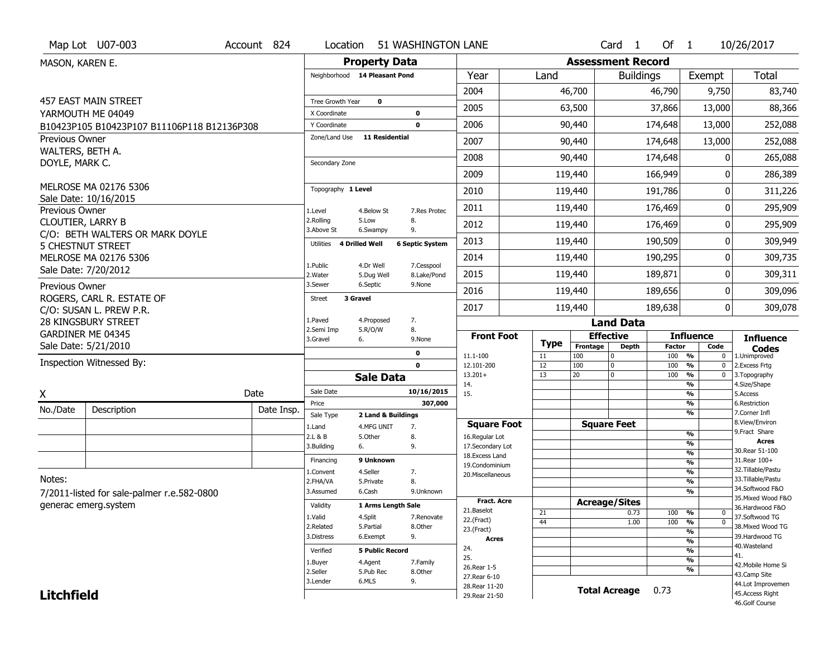|                          | Map Lot U07-003                                             | Account 824 | Location                     |                               | 51 WASHINGTON LANE        |                                    |             |            | Card <sub>1</sub>        | Of 1          |                                | 10/26/2017                            |
|--------------------------|-------------------------------------------------------------|-------------|------------------------------|-------------------------------|---------------------------|------------------------------------|-------------|------------|--------------------------|---------------|--------------------------------|---------------------------------------|
| MASON, KAREN E.          |                                                             |             |                              | <b>Property Data</b>          |                           |                                    |             |            | <b>Assessment Record</b> |               |                                |                                       |
|                          |                                                             |             |                              | Neighborhood 14 Pleasant Pond |                           | Year                               | Land        |            | <b>Buildings</b>         |               | Exempt                         | <b>Total</b>                          |
|                          |                                                             |             |                              |                               |                           | 2004                               |             | 46,700     |                          | 46,790        | 9,750                          | 83,740                                |
|                          | <b>457 EAST MAIN STREET</b>                                 |             | Tree Growth Year             | $\mathbf 0$                   |                           | 2005                               |             | 63,500     |                          | 37,866        | 13,000                         | 88,366                                |
|                          | YARMOUTH ME 04049                                           |             | X Coordinate<br>Y Coordinate |                               | $\bf{0}$<br>$\mathbf 0$   | 2006                               |             | 90,440     |                          | 174,648       | 13,000                         | 252,088                               |
| Previous Owner           | B10423P105 B10423P107 B11106P118 B12136P308                 |             | Zone/Land Use                | <b>11 Residential</b>         |                           |                                    |             |            |                          |               |                                |                                       |
| WALTERS, BETH A.         |                                                             |             |                              |                               |                           | 2007                               |             | 90,440     |                          | 174,648       | 13,000                         | 252,088                               |
| DOYLE, MARK C.           |                                                             |             | Secondary Zone               |                               |                           | 2008                               |             | 90,440     |                          | 174,648       | 0                              | 265,088                               |
|                          |                                                             |             |                              |                               |                           | 2009                               |             | 119,440    |                          | 166,949       | 0                              | 286,389                               |
|                          | MELROSE MA 02176 5306                                       |             | Topography 1 Level           |                               |                           | 2010                               |             | 119,440    |                          | 191,786       | 0                              | 311,226                               |
| Previous Owner           | Sale Date: 10/16/2015                                       |             | 1.Level                      | 4.Below St                    | 7.Res Protec              | 2011                               |             | 119,440    |                          | 176,469       | 0                              | 295,909                               |
| <b>CLOUTIER, LARRY B</b> |                                                             |             | 2.Rolling<br>3.Above St      | 5.Low<br>6.Swampy             | 8.<br>9.                  | 2012                               |             | 119,440    |                          | 176,469       | 0                              | 295,909                               |
|                          | C/O: BETH WALTERS OR MARK DOYLE<br><b>5 CHESTNUT STREET</b> |             | Utilities                    | 4 Drilled Well                | <b>6 Septic System</b>    | 2013                               |             | 119,440    |                          | 190,509       | 0                              | 309,949                               |
|                          | MELROSE MA 02176 5306                                       |             |                              |                               |                           | 2014                               |             | 119,440    |                          | 190,295       | 0                              | 309,735                               |
|                          | Sale Date: 7/20/2012                                        |             | 1.Public<br>2.Water          | 4.Dr Well<br>5.Dug Well       | 7.Cesspool<br>8.Lake/Pond | 2015                               |             | 119,440    |                          | 189,871       | 0                              | 309,311                               |
| Previous Owner           |                                                             |             | 3.Sewer                      | 6.Septic                      | 9.None                    | 2016                               |             | 119,440    |                          | 189,656       | 0                              | 309,096                               |
|                          | ROGERS, CARL R. ESTATE OF<br>C/O: SUSAN L. PREW P.R.        |             | <b>Street</b>                | 3 Gravel                      |                           | 2017                               |             | 119,440    |                          | 189,638       | 0                              | 309,078                               |
|                          | <b>28 KINGSBURY STREET</b>                                  |             | 1.Paved                      | 4.Proposed                    | 7.                        |                                    |             |            | <b>Land Data</b>         |               |                                |                                       |
|                          | GARDINER ME 04345                                           |             | 2.Semi Imp<br>3.Gravel       | 5.R/O/W<br>6.                 | 8.<br>9.None              | <b>Front Foot</b>                  |             |            | <b>Effective</b>         |               | <b>Influence</b>               | <b>Influence</b>                      |
|                          | Sale Date: 5/21/2010                                        |             |                              |                               | 0                         |                                    | <b>Type</b> | Frontage   | <b>Depth</b>             | <b>Factor</b> | Code                           | <b>Codes</b>                          |
|                          | Inspection Witnessed By:                                    |             |                              |                               | $\mathbf 0$               | 11.1-100                           | 11          | 100<br>100 | 0                        | 100 %         | $\mathbf 0$                    | 1.Unimproved<br>2. Excess Frtg        |
|                          |                                                             |             |                              |                               |                           | 12.101-200                         | 12          |            | 0                        | 100           | %<br>$\mathbf 0$               |                                       |
| Χ                        |                                                             |             |                              | <b>Sale Data</b>              |                           | $13.201+$                          | 13          | 20         | $\mathbf 0$              | 100           | $\frac{9}{6}$<br>$\mathbf 0$   | 3. Topography                         |
|                          |                                                             | Date        | Sale Date                    |                               | 10/16/2015                | 14.<br>15.                         |             |            |                          |               | %<br>%                         | 4.Size/Shape<br>5.Access              |
|                          |                                                             |             | Price                        |                               | 307,000                   |                                    |             |            |                          |               | %                              | 6.Restriction                         |
| No./Date                 | Description                                                 | Date Insp.  | Sale Type                    | 2 Land & Buildings            |                           |                                    |             |            |                          |               | %                              | 7.Corner Infl                         |
|                          |                                                             |             | 1.Land                       | 4.MFG UNIT                    | 7.                        | <b>Square Foot</b>                 |             |            | <b>Square Feet</b>       |               | %                              | 8.View/Environ<br>9. Fract Share      |
|                          |                                                             |             | 2.L & B<br>3.Building        | 5.Other<br>6.                 | 8.<br>9.                  | 16.Regular Lot<br>17.Secondary Lot |             |            |                          |               | $\frac{9}{6}$                  | <b>Acres</b>                          |
|                          |                                                             |             |                              |                               |                           | 18.Excess Land                     |             |            |                          |               | $\frac{9}{6}$                  | 30. Rear 51-100                       |
|                          |                                                             |             | Financing                    | 9 Unknown                     |                           | 19.Condominium                     |             |            |                          |               | $\frac{9}{6}$                  | 31. Rear 100+<br>32.Tillable/Pastu    |
| Notes:                   |                                                             |             | 1.Convent<br>2.FHA/VA        | 4.Seller<br>5.Private         | 7.<br>8.                  | 20.Miscellaneous                   |             |            |                          |               | $\frac{9}{6}$<br>$\frac{9}{6}$ | 33.Tillable/Pastu                     |
|                          |                                                             |             | 3.Assumed                    | 6.Cash                        | 9.Unknown                 |                                    |             |            |                          |               | $\overline{\frac{9}{6}}$       | 34.Softwood F&O                       |
|                          | 7/2011-listed for sale-palmer r.e.582-0800                  |             | Validity                     | 1 Arms Length Sale            |                           | <b>Fract. Acre</b>                 |             |            | <b>Acreage/Sites</b>     |               |                                | 35. Mixed Wood F&O                    |
|                          | generac emerg.system                                        |             |                              |                               |                           | 21.Baselot                         | 21          |            | 0.73                     | 100 %         | 0                              | 36.Hardwood F&O                       |
|                          |                                                             |             | 1.Valid<br>2.Related         | 4.Split<br>5.Partial          | 7.Renovate<br>8.Other     | 22.(Fract)                         | 44          |            | 1.00                     | 100           | $\frac{9}{6}$<br>$\mathbf 0$   | 37.Softwood TG<br>38. Mixed Wood TG   |
|                          |                                                             |             | 3.Distress                   | 6.Exempt                      | 9.                        | 23.(Fract)<br><b>Acres</b>         |             |            |                          |               | $\frac{9}{6}$                  | 39.Hardwood TG                        |
|                          |                                                             |             |                              |                               |                           | 24.                                |             |            |                          |               | $\frac{9}{6}$                  | 40. Wasteland                         |
|                          |                                                             |             | Verified                     | <b>5 Public Record</b>        |                           | 25.                                |             |            |                          |               | %<br>$\frac{9}{6}$             | 41.                                   |
|                          |                                                             |             | 1.Buyer                      | 4.Agent                       | 7.Family                  | 26. Rear 1-5                       |             |            |                          |               | %                              | 42. Mobile Home Si                    |
|                          |                                                             |             | 2.Seller<br>3.Lender         | 5.Pub Rec<br>6.MLS            | 8.Other<br>9.             | 27. Rear 6-10                      |             |            |                          |               |                                | 43.Camp Site                          |
| <b>Litchfield</b>        |                                                             |             |                              |                               |                           | 28. Rear 11-20<br>29. Rear 21-50   |             |            | <b>Total Acreage</b>     | 0.73          |                                | 44.Lot Improvemen<br>45. Access Right |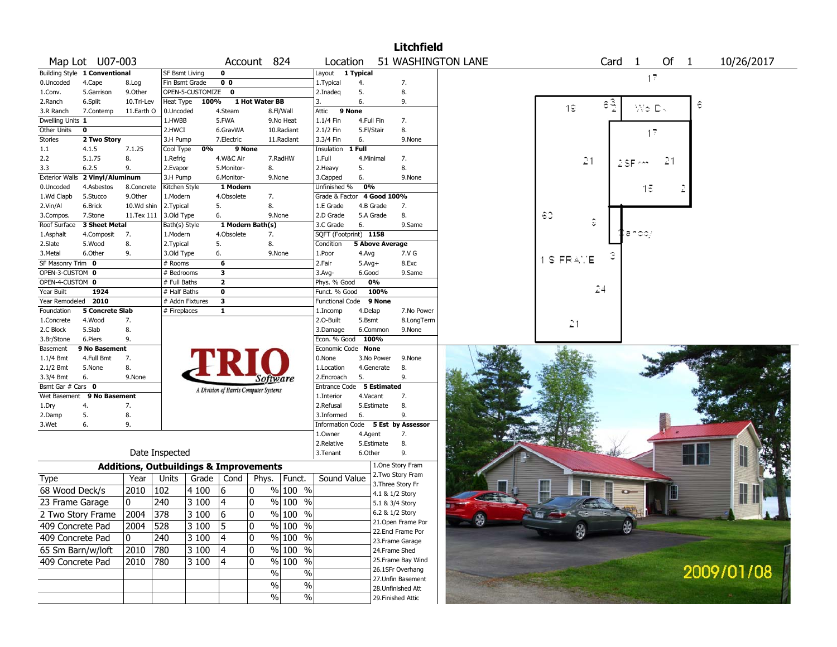|                       |                               |            |                                                   |                  |                                       |                  |                     |                        |            |                        | <b>Litchfield</b>                  |                    |    |           |           |      |              |      |            |            |  |
|-----------------------|-------------------------------|------------|---------------------------------------------------|------------------|---------------------------------------|------------------|---------------------|------------------------|------------|------------------------|------------------------------------|--------------------|----|-----------|-----------|------|--------------|------|------------|------------|--|
|                       | Map Lot U07-003               |            |                                                   |                  |                                       | Account 824      |                     | Location               |            |                        |                                    | 51 WASHINGTON LANE |    |           |           | Card | $\mathbf{1}$ | Of 1 |            | 10/26/2017 |  |
|                       | Building Style 1 Conventional |            | <b>SF Bsmt Living</b>                             |                  | $\mathbf 0$                           |                  |                     | Layout                 | 1 Typical  |                        |                                    |                    |    |           |           |      |              |      |            |            |  |
| 0.Uncoded             | 4.Cape                        | 8.Log      | Fin Bsmt Grade                                    |                  | 0 <sub>0</sub>                        |                  |                     | 1. Typical             | 4.         |                        | 7.                                 |                    |    |           |           |      | 17           |      |            |            |  |
| 1.Conv.               | 5.Garrison                    | 9.Other    |                                                   | OPEN-5-CUSTOMIZE | $\mathbf 0$                           |                  |                     | 2.Inadeq               | 5.         |                        | 8.                                 |                    |    |           |           |      |              |      |            |            |  |
| 2.Ranch               | 6.Split                       | 10.Tri-Lev | Heat Type                                         | 100%             |                                       | 1 Hot Water BB   |                     | 3.                     | 6.         |                        | 9.                                 |                    |    |           |           | εą   |              |      | ê          |            |  |
| 3.R Ranch             | 7.Contemp                     | 11.Earth O | 0.Uncoded                                         |                  | 4.Steam                               |                  | 8.Fl/Wall           | Attic                  | 9 None     |                        |                                    |                    |    | 19        |           |      | Wo Dk        |      |            |            |  |
| Dwelling Units 1      |                               |            | 1.HWBB                                            |                  | 5.FWA                                 |                  | 9.No Heat           | 1.1/4 Fin              |            | 4.Full Fin             | 7.                                 |                    |    |           |           |      |              |      |            |            |  |
| Other Units           | 0                             |            | 2.HWCI                                            |                  | 6.GravWA                              |                  | 10.Radiant          | 2.1/2 Fin              | 5.Fl/Stair |                        | 8.                                 |                    |    |           |           |      | 17           |      |            |            |  |
| <b>Stories</b>        | 2 Two Story                   |            | 3.H Pump                                          |                  | 7.Electric                            |                  | 11.Radiant          | 3.3/4 Fin              | 6.         |                        | 9.None                             |                    |    |           |           |      |              |      |            |            |  |
| $1.1\,$               | 4.1.5                         | 7.1.25     | Cool Type                                         | 0%               |                                       | 9 None           |                     | Insulation             | 1 Full     |                        |                                    |                    |    |           |           |      |              |      |            |            |  |
| 2.2                   | 5.1.75                        | 8.         | 1.Refrig                                          |                  | 4.W&C Air                             |                  | 7.RadHW             | 1.Full                 |            | 4.Minimal              | 7.                                 |                    |    |           | 21        |      |              | 21   |            |            |  |
| 3.3                   | 6.2.5                         | 9.         | 2.Evapor                                          |                  | 5.Monitor-                            | 8.               |                     | 2. Heavy               | 5.         |                        | 8.                                 |                    |    |           |           |      |              |      |            |            |  |
| <b>Exterior Walls</b> | 2 Vinyl/Aluminum              |            | 3.H Pump                                          |                  | 6.Monitor-                            |                  | 9.None              | 3.Capped               | 6.         |                        | 9.None                             |                    |    |           |           |      |              |      |            |            |  |
| 0.Uncoded             | 4.Asbestos                    | 8.Concrete | Kitchen Style                                     |                  | 1 Modern                              |                  |                     | Unfinished %           | 0%         |                        |                                    |                    |    |           |           |      | 15           |      |            |            |  |
| 1.Wd Clapb            | 5.Stucco                      | 9.Other    | 1.Modern                                          |                  | 4.Obsolete                            | 7.               |                     | Grade & Factor         |            | 4 Good 100%            |                                    |                    |    |           |           |      |              |      |            |            |  |
| 2.Vin/Al              | 6.Brick                       | 10.Wd shin | 2.Typical                                         |                  | 5.                                    | 8.               |                     | 1.E Grade              |            | 4.B Grade              | 7.                                 |                    |    |           |           |      |              |      |            |            |  |
| 3.Compos.             | 7.Stone                       | 11.Tex 111 | 3.Old Type                                        |                  | 6.                                    |                  | 9.None              | 2.D Grade              |            | 5.A Grade              | 8.                                 |                    | 60 |           |           |      |              |      |            |            |  |
| Roof Surface          | 3 Sheet Metal                 |            | Bath(s) Style                                     |                  |                                       | 1 Modern Bath(s) |                     | 3.C Grade              | 6.         |                        | 9.Same                             |                    |    |           | $\hat{z}$ |      |              |      |            |            |  |
| 1.Asphalt             | 4.Composit                    | 7.         | 1.Modern                                          |                  | 4.Obsolete                            | 7.               |                     | SQFT (Footprint) 1158  |            |                        |                                    |                    |    |           |           |      | ian doj      |      |            |            |  |
| 2.Slate               | 5.Wood                        | 8.         | 2.Typical                                         |                  | 5.                                    | 8.               |                     | Condition              |            | <b>5 Above Average</b> |                                    |                    |    |           |           |      |              |      |            |            |  |
| 3.Metal               | 6.Other                       | 9.         | 3.Old Type                                        |                  | 6.                                    |                  | 9.None              | 1.Poor                 | 4.Avg      |                        | 7.V G                              |                    |    |           |           |      |              |      |            |            |  |
| SF Masonry Trim 0     |                               |            | # Rooms                                           |                  | 6                                     |                  |                     | 2.Fair                 | $5.Avg+$   |                        | 8.Exc                              |                    |    | 1 S FRAME |           |      |              |      |            |            |  |
| OPEN-3-CUSTOM 0       |                               |            | # Bedrooms                                        |                  | 3                                     |                  |                     | 3.Avg-                 | 6.Good     |                        | 9.Same                             |                    |    |           |           |      |              |      |            |            |  |
| OPEN-4-CUSTOM 0       |                               |            | # Full Baths                                      |                  | $\mathbf{2}$                          |                  |                     | Phys. % Good           |            | 0%                     |                                    |                    |    |           |           |      |              |      |            |            |  |
| Year Built            | 1924                          |            | # Half Baths                                      |                  | $\mathbf 0$                           |                  |                     | Funct. % Good          |            | 100%                   |                                    |                    |    |           | 24        |      |              |      |            |            |  |
| Year Remodeled 2010   |                               |            |                                                   | # Addn Fixtures  | 3                                     |                  |                     | <b>Functional Code</b> |            | 9 None                 |                                    |                    |    |           |           |      |              |      |            |            |  |
| Foundation            | <b>5 Concrete Slab</b>        |            | # Fireplaces                                      |                  | $\mathbf{1}$                          |                  |                     | 1.Incomp               | 4.Delap    |                        | 7.No Power                         |                    |    |           |           |      |              |      |            |            |  |
| 1.Concrete            | 4.Wood                        | 7.         |                                                   |                  |                                       |                  |                     | 2.O-Built              | 5.Bsmt     |                        | 8.LongTerm                         |                    |    | 21        |           |      |              |      |            |            |  |
| 2.C Block             | 5.Slab                        | 8.         |                                                   |                  |                                       |                  |                     | 3.Damage               |            | 6.Common               | 9.None                             |                    |    |           |           |      |              |      |            |            |  |
| 3.Br/Stone            | 6.Piers                       | 9.         |                                                   |                  |                                       |                  |                     | Econ. % Good           |            | 100%                   |                                    |                    |    |           |           |      |              |      |            |            |  |
| Basement              | 9 No Basement                 |            |                                                   |                  |                                       |                  |                     | Economic Code None     |            |                        |                                    |                    |    |           |           |      |              |      |            |            |  |
| 1.1/4 Bmt             | 4.Full Bmt                    | 7.         |                                                   |                  |                                       |                  |                     | 0.None                 |            | 3.No Power             | 9.None                             |                    |    |           |           |      |              |      |            |            |  |
| 2.1/2 Bmt             | 5.None                        | 8.         |                                                   |                  |                                       |                  |                     | 1.Location             |            | 4.Generate             | 8.                                 |                    |    |           |           |      |              |      |            |            |  |
| 3.3/4 Bmt             | 6.                            | 9.None     |                                                   |                  |                                       | Software         |                     | 2.Encroach             | 5.         |                        | 9.                                 |                    |    |           |           |      |              |      |            |            |  |
| Bsmt Gar # Cars 0     |                               |            |                                                   |                  | A Division of Harris Computer Systems |                  |                     | <b>Entrance Code</b>   |            | <b>5 Estimated</b>     |                                    |                    |    |           |           |      |              |      |            |            |  |
| Wet Basement          | 9 No Basement                 |            |                                                   |                  |                                       |                  |                     | 1.Interior             | 4.Vacant   |                        | 7.                                 |                    |    |           |           |      |              |      |            |            |  |
| 1.Dry                 | 4.                            | 7.         |                                                   |                  |                                       |                  |                     | 2.Refusal              |            | 5.Estimate             | 8.                                 |                    |    |           |           |      |              |      |            |            |  |
| 2.Damp                | 5.                            | 8.         |                                                   |                  |                                       |                  |                     | 3.Informed             | 6.         |                        | 9.                                 |                    |    |           |           |      |              |      |            |            |  |
| 3.Wet                 | 6.                            | 9.         |                                                   |                  |                                       |                  |                     |                        |            |                        | Information Code 5 Est by Assessor |                    |    |           |           |      |              |      |            |            |  |
|                       |                               |            |                                                   |                  |                                       |                  |                     | 1.0wner                | 4.Agent    |                        | 7.                                 |                    |    |           |           |      |              |      |            |            |  |
|                       |                               |            |                                                   |                  |                                       |                  |                     | 2.Relative             |            | 5.Estimate             | 8.                                 |                    |    |           |           |      |              |      |            |            |  |
|                       |                               |            | Date Inspected                                    |                  |                                       |                  |                     | 3.Tenant               | 6.Other    |                        | 9.                                 |                    |    |           |           |      |              |      |            |            |  |
|                       |                               |            | <b>Additions, Outbuildings &amp; Improvements</b> |                  |                                       |                  |                     |                        |            |                        | 1.One Story Fram                   |                    |    |           |           |      |              |      |            |            |  |
| Type                  |                               | Year       | Units                                             | Grade            | Cond                                  | Phys.            | Funct.              | Sound Value            |            |                        | 2. Two Story Fram                  |                    |    |           |           |      |              |      |            |            |  |
| 68 Wood Deck/s        |                               | 2010       | 102                                               | 4 100            | 16                                    | 10               | $%100$ %            |                        |            |                        | 3. Three Story Fr                  |                    | 世  |           |           |      |              |      |            |            |  |
| 23 Frame Garage       |                               | 10         | 240                                               | 3 100            | 4                                     | 10               | $\frac{9}{6}$ 100 % |                        |            |                        | 4.1 & 1/2 Story<br>5.1 & 3/4 Story |                    |    |           |           |      |              |      |            |            |  |
|                       | 2 Two Story Frame             | 2004 378   |                                                   | $3100$ 6         |                                       | 0                | $\frac{9}{6}$ 100 % |                        |            |                        | 6.2 & 1/2 Story                    |                    |    |           |           |      |              |      |            |            |  |
| 409 Concrete Pad      |                               | 2004 528   |                                                   | 3 100            | 5                                     | 10               | % 100 %             |                        |            |                        | 21. Open Frame Por                 |                    |    |           |           | \$   |              |      |            |            |  |
| 409 Concrete Pad      |                               | 0          | 240                                               | 3 100            | 4                                     | 10               | % 100 %             |                        |            |                        | 22.Encl Frame Por                  |                    |    | \$        |           |      |              |      |            |            |  |
| 65 Sm Barn/w/loft     |                               | 2010       | 780                                               | 3 100            | 4                                     | 10               | % 100 %             |                        |            |                        | 23. Frame Garage<br>24.Frame Shed  |                    |    |           |           |      |              |      |            |            |  |
|                       |                               |            |                                                   |                  |                                       | 10               | % 100 %             |                        |            |                        | 25. Frame Bay Wind                 |                    |    |           |           |      |              |      |            |            |  |
| 409 Concrete Pad      |                               | 2010       | 780                                               | $ 3100\rangle$   | 4                                     |                  |                     |                        |            |                        | 26.1SFr Overhang                   |                    |    |           |           |      |              |      |            |            |  |
|                       |                               |            |                                                   |                  |                                       | %                | $\%$                |                        |            |                        | 27.Unfin Basement                  |                    |    |           |           |      |              |      | 2009/01/08 |            |  |
|                       |                               |            |                                                   |                  |                                       | $\%$             | $\%$                |                        |            |                        | 28. Unfinished Att                 |                    |    |           |           |      |              |      |            |            |  |
|                       |                               |            |                                                   |                  |                                       | %                | $\sqrt{6}$          |                        |            |                        | 29. Finished Attic                 |                    |    |           |           |      |              |      |            |            |  |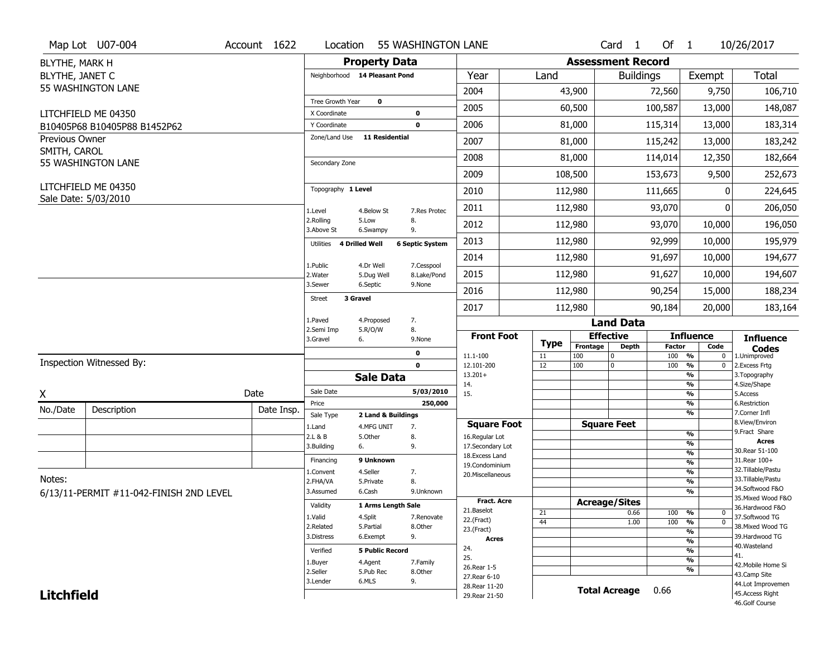|                                | Map Lot U07-004                             | Account 1622 | Location                      |                               | 55 WASHINGTON LANE        |                                      |             |                          | Card <sub>1</sub>    | Of $1$        |                                            | 10/26/2017                            |
|--------------------------------|---------------------------------------------|--------------|-------------------------------|-------------------------------|---------------------------|--------------------------------------|-------------|--------------------------|----------------------|---------------|--------------------------------------------|---------------------------------------|
| BLYTHE, MARK H                 |                                             |              |                               | <b>Property Data</b>          |                           |                                      |             | <b>Assessment Record</b> |                      |               |                                            |                                       |
| BLYTHE, JANET C                |                                             |              |                               | Neighborhood 14 Pleasant Pond |                           | Year                                 | Land        |                          | <b>Buildings</b>     |               | Exempt                                     | <b>Total</b>                          |
|                                | 55 WASHINGTON LANE                          |              |                               |                               |                           | 2004                                 |             | 43,900                   |                      | 72,560        | 9,750                                      | 106,710                               |
|                                |                                             |              | Tree Growth Year              | $\mathbf 0$                   |                           | 2005                                 |             | 60,500                   |                      | 100,587       | 13,000                                     | 148,087                               |
|                                | LITCHFIELD ME 04350                         |              | X Coordinate                  |                               | 0                         |                                      |             |                          |                      |               |                                            |                                       |
|                                | B10405P68 B10405P88 B1452P62                |              | Y Coordinate<br>Zone/Land Use | <b>11 Residential</b>         | $\mathbf 0$               | 2006                                 |             | 81,000                   |                      | 115,314       | 13,000                                     | 183,314                               |
| Previous Owner<br>SMITH, CAROL |                                             |              |                               |                               |                           | 2007                                 |             | 81,000                   |                      | 115,242       | 13,000                                     | 183,242                               |
|                                | 55 WASHINGTON LANE                          |              | Secondary Zone                |                               |                           | 2008                                 |             | 81,000                   |                      | 114,014       | 12,350                                     | 182,664                               |
|                                |                                             |              |                               |                               |                           | 2009                                 |             | 108,500                  |                      | 153,673       | 9,500                                      | 252,673                               |
|                                | LITCHFIELD ME 04350<br>Sale Date: 5/03/2010 |              | Topography 1 Level            |                               |                           | 2010                                 |             | 112,980                  |                      | 111,665       | ŋ                                          | 224,645                               |
|                                |                                             |              | 1.Level                       | 4.Below St                    | 7.Res Protec              | 2011                                 |             | 112,980                  |                      | 93,070        |                                            | 206,050                               |
|                                |                                             |              | 2.Rolling<br>3.Above St       | 5.Low<br>6.Swampy             | 8.<br>9.                  | 2012                                 |             | 112,980                  |                      | 93,070        | 10,000                                     | 196,050                               |
|                                |                                             |              | Utilities                     | <b>4 Drilled Well</b>         | <b>6 Septic System</b>    | 2013                                 |             | 112,980                  |                      | 92,999        | 10,000                                     | 195,979                               |
|                                |                                             |              |                               |                               |                           | 2014                                 |             | 112,980                  |                      | 91,697        | 10,000                                     | 194,677                               |
|                                |                                             |              | 1.Public<br>2. Water          | 4.Dr Well<br>5.Dug Well       | 7.Cesspool<br>8.Lake/Pond | 2015                                 |             | 112,980                  |                      | 91,627        | 10,000                                     | 194,607                               |
|                                |                                             |              | 3.Sewer                       | 6.Septic                      | 9.None                    | 2016                                 |             | 112,980                  |                      | 90,254        | 15,000                                     | 188,234                               |
|                                |                                             |              | <b>Street</b>                 | 3 Gravel                      |                           | 2017                                 |             | 112,980                  |                      | 90,184        | 20,000                                     | 183,164                               |
|                                |                                             |              | 1.Paved                       | 4.Proposed                    | 7.                        |                                      |             |                          | <b>Land Data</b>     |               |                                            |                                       |
|                                |                                             |              |                               |                               |                           |                                      |             |                          |                      |               |                                            |                                       |
|                                |                                             |              | 2.Semi Imp<br>3.Gravel        | 5.R/O/W<br>6.                 | 8.<br>9.None              | <b>Front Foot</b>                    |             |                          | <b>Effective</b>     |               | <b>Influence</b>                           | <b>Influence</b>                      |
|                                |                                             |              |                               |                               | 0                         |                                      | <b>Type</b> | Frontage                 | Depth<br>$\mathbf 0$ | <b>Factor</b> | Code                                       | <b>Codes</b>                          |
|                                | Inspection Witnessed By:                    |              |                               |                               | $\mathbf 0$               | 11.1-100<br>12.101-200               | 11<br>12    | 100<br>100               | 0                    | 100<br>100    | %<br>$\bf{0}$<br>$\frac{9}{6}$<br>$\bf{0}$ | 1.Unimproved<br>2. Excess Frtg        |
|                                |                                             |              |                               | <b>Sale Data</b>              |                           | $13.201+$                            |             |                          |                      |               | %                                          | 3. Topography                         |
| X                              |                                             | Date         | Sale Date                     |                               | 5/03/2010                 | 14.<br>15.                           |             |                          |                      |               | %<br>%                                     | 4.Size/Shape<br>5.Access              |
|                                |                                             |              | Price                         |                               | 250,000                   |                                      |             |                          |                      |               | %                                          | 6.Restriction                         |
| No./Date                       | Description                                 | Date Insp.   | Sale Type                     | 2 Land & Buildings            |                           |                                      |             |                          |                      |               | %                                          | 7.Corner Infl<br>8.View/Environ       |
|                                |                                             |              | 1.Land<br>2.L & B             | 4.MFG UNIT<br>5.Other         | 7.<br>8.                  | <b>Square Foot</b><br>16.Regular Lot |             |                          | <b>Square Feet</b>   |               | $\frac{9}{6}$                              | 9. Fract Share                        |
|                                |                                             |              | 3.Building                    | 6.                            | 9.                        | 17.Secondary Lot                     |             |                          |                      |               | %                                          | <b>Acres</b>                          |
|                                |                                             |              | Financing                     | 9 Unknown                     |                           | 18. Excess Land                      |             |                          |                      |               | $\frac{9}{6}$                              | 30. Rear 51-100<br>31.Rear 100+       |
|                                |                                             |              | 1.Convent                     | 4.Seller                      | 7.                        | 19.Condominium<br>20.Miscellaneous   |             |                          |                      |               | $\frac{9}{6}$<br>$\frac{9}{6}$             | 32. Tillable/Pastu                    |
| Notes:                         |                                             |              | 2.FHA/VA                      | 5.Private                     | 8.                        |                                      |             |                          |                      |               | $\frac{9}{6}$                              | 33. Tillable/Pastu                    |
|                                | 6/13/11-PERMIT #11-042-FINISH 2ND LEVEL     |              | 3.Assumed                     | 6.Cash                        | 9.Unknown                 |                                      |             |                          |                      |               | $\frac{9}{6}$                              | 34.Softwood F&O                       |
|                                |                                             |              | Validity                      | 1 Arms Length Sale            |                           | <b>Fract. Acre</b>                   |             |                          | <b>Acreage/Sites</b> |               |                                            | 35. Mixed Wood F&O<br>36.Hardwood F&O |
|                                |                                             |              | 1.Valid                       | 4.Split                       | 7.Renovate                | 21.Baselot                           | 21          |                          | 0.66                 | 100           | %<br>0                                     | 37.Softwood TG                        |
|                                |                                             |              | 2.Related                     | 5.Partial                     | 8.Other                   | 22.(Fract)<br>23.(Fract)             | 44          |                          | 1.00                 | 100           | $\overline{0}$<br>%                        | 38. Mixed Wood TG                     |
|                                |                                             |              | 3.Distress                    | 6.Exempt                      | 9.                        | <b>Acres</b>                         |             |                          |                      |               | %<br>%                                     | 39.Hardwood TG                        |
|                                |                                             |              | Verified                      | <b>5 Public Record</b>        |                           | 24.                                  |             |                          |                      |               | %                                          | 40. Wasteland                         |
|                                |                                             |              | 1.Buyer                       | 4.Agent                       | 7.Family                  | 25.                                  |             |                          |                      |               | %                                          | 41.<br>42. Mobile Home Si             |
|                                |                                             |              | 2.Seller                      | 5.Pub Rec                     | 8.Other                   | 26. Rear 1-5<br>27. Rear 6-10        |             |                          |                      |               | %                                          | 43.Camp Site                          |
| <b>Litchfield</b>              |                                             |              | 3.Lender                      | 6.MLS                         | 9.                        | 28. Rear 11-20                       |             |                          | <b>Total Acreage</b> | 0.66          |                                            | 44.Lot Improvemen<br>45.Access Right  |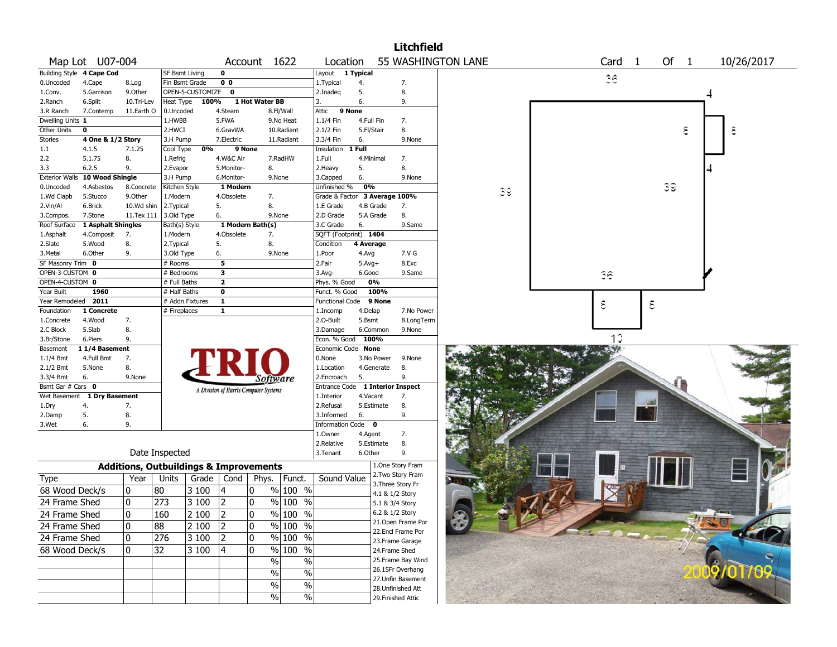|                       |                             |                                                   |                           |                  |                         |                                       |                          |                                    |            |                 | <b>Litchfield</b>                   |                    |    |    |                      |    |      |            |  |
|-----------------------|-----------------------------|---------------------------------------------------|---------------------------|------------------|-------------------------|---------------------------------------|--------------------------|------------------------------------|------------|-----------------|-------------------------------------|--------------------|----|----|----------------------|----|------|------------|--|
|                       | Map Lot U07-004             |                                                   |                           |                  |                         | Account 1622                          |                          | Location                           |            |                 |                                     | 55 WASHINGTON LANE |    |    | Card<br>$\mathbf{1}$ |    | Of 1 | 10/26/2017 |  |
|                       | Building Style 4 Cape Cod   |                                                   | SF Bsmt Living            |                  | 0                       |                                       |                          | Layout                             | 1 Typical  |                 |                                     |                    |    |    |                      |    |      |            |  |
| 0.Uncoded             | 4.Cape                      | 8.Log                                             | Fin Bsmt Grade            |                  | 0 <sub>0</sub>          |                                       |                          | 1. Typical                         | 4.         |                 | 7.                                  |                    |    |    | 36                   |    |      |            |  |
| 1.Conv.               | 5.Garrison                  | 9.0ther                                           |                           | OPEN-5-CUSTOMIZE | $\mathbf 0$             |                                       |                          | 2.Inadeg                           | 5.         |                 | 8.                                  |                    |    |    |                      |    |      |            |  |
| 2.Ranch               | 6.Split                     | 10.Tri-Lev                                        | Heat Type                 | 100%             |                         | 1 Hot Water BB                        |                          | 3.                                 | 6.         |                 | 9.                                  |                    |    |    |                      |    |      |            |  |
| 3.R Ranch             | 7.Contemp                   | 11.Earth O                                        | 0.Uncoded                 |                  | 4.Steam                 |                                       | 8.Fl/Wall                | Attic                              | 9 None     |                 |                                     |                    |    |    |                      |    |      |            |  |
| Dwelling Units 1      |                             |                                                   | 1.HWBB                    |                  | 5.FWA                   |                                       | 9.No Heat                | 1.1/4 Fin                          | 4.Full Fin |                 | 7.                                  |                    |    |    |                      |    |      |            |  |
| Other Units           | 0                           |                                                   | 2.HWCI                    |                  | 6.GravWA                |                                       | 10.Radiant               | 2.1/2 Fin                          | 5.Fl/Stair |                 | 8.                                  |                    |    |    |                      |    | ε    | ε          |  |
| Stories               | 4 One & 1/2 Story           |                                                   | 3.H Pump                  |                  | 7.Electric              |                                       | 11.Radiant               | 3.3/4 Fin                          | 6.         |                 | 9.None                              |                    |    |    |                      |    |      |            |  |
| $1.1\,$               | 4.1.5                       | 7.1.25                                            | Cool Type                 | 0%               |                         | 9 None                                |                          | Insulation 1 Full                  |            |                 |                                     |                    |    |    |                      |    |      |            |  |
| 2.2                   | 5.1.75                      | 8.                                                | 1.Refrig                  |                  | 4.W&C Air               |                                       | 7.RadHW                  | 1.Full                             |            | 4.Minimal       | 7.                                  |                    |    |    |                      |    |      |            |  |
| 3.3                   | 6.2.5                       | 9.                                                | 2.Evapor                  |                  | 5.Monitor-              | 8.                                    |                          | 2.Heavy                            | 5.         |                 | 8.                                  |                    |    |    |                      |    |      |            |  |
| <b>Exterior Walls</b> | 10 Wood Shingle             |                                                   | 3.H Pump                  |                  | 6.Monitor-              | 9.None                                |                          | 3.Capped                           | 6.         |                 | 9.None                              |                    |    |    |                      |    |      |            |  |
| 0.Uncoded             | 4.Asbestos                  | 8.Concrete                                        | Kitchen Style             |                  | 1 Modern                |                                       |                          | Unfinished %                       | 0%         |                 |                                     |                    | 39 |    |                      | 39 |      |            |  |
| 1.Wd Clapb            | 5.Stucco                    | 9.Other                                           | 1.Modern                  |                  | 4.Obsolete              | 7.                                    |                          | Grade & Factor 3 Average 100%      |            |                 |                                     |                    |    |    |                      |    |      |            |  |
| 2.Vin/Al              | 6.Brick                     | 10.Wd shin                                        | 2.Typical                 |                  | 5.                      | 8.                                    |                          | 1.E Grade                          |            | 4.B Grade       | 7.                                  |                    |    |    |                      |    |      |            |  |
| 3.Compos.             | 7.Stone                     | 11.Tex 111                                        | 3.Old Type                |                  | 6.                      | 9.None                                |                          | 2.D Grade                          |            | 5.A Grade       | 8.                                  |                    |    |    |                      |    |      |            |  |
| Roof Surface          | 1 Asphalt Shingles          |                                                   | Bath(s) Style<br>1.Modern |                  | 4.Obsolete              | 1 Modern Bath(s)                      |                          | 3.C Grade<br>SQFT (Footprint) 1404 | 6.         |                 | 9.Same                              |                    |    |    |                      |    |      |            |  |
| 1.Asphalt<br>2.Slate  | 4.Composit<br>5.Wood        | 7.<br>8.                                          | 2. Typical                |                  | 5.                      | 7.<br>8.                              |                          | Condition                          | 4 Average  |                 |                                     |                    |    |    |                      |    |      |            |  |
| 3.Metal               | 6.Other                     | 9.                                                | 3.Old Type                |                  | 6.                      | 9.None                                |                          | 1.Poor                             | 4.Avg      |                 | 7.V G                               |                    |    |    |                      |    |      |            |  |
| SF Masonry Trim 0     |                             |                                                   | # Rooms                   |                  | 5                       |                                       |                          | 2.Fair                             | $5.Avg+$   |                 | 8.Exc                               |                    |    |    |                      |    |      |            |  |
| OPEN-3-CUSTOM 0       |                             |                                                   | # Bedrooms                |                  | $\overline{\mathbf{3}}$ |                                       |                          | 3.Avg-                             | 6.Good     |                 | 9.Same                              |                    |    | 36 |                      |    |      |            |  |
| OPEN-4-CUSTOM 0       |                             |                                                   | # Full Baths              |                  | $\overline{2}$          |                                       |                          | Phys. % Good                       |            | 0%              |                                     |                    |    |    |                      |    |      |            |  |
| Year Built            | 1960                        |                                                   | # Half Baths              |                  | 0                       |                                       |                          | Funct. % Good                      |            | 100%            |                                     |                    |    |    |                      |    |      |            |  |
| Year Remodeled        | 2011                        |                                                   | # Addn Fixtures           |                  | $\mathbf{1}$            |                                       |                          | <b>Functional Code</b>             |            | 9 None          |                                     |                    |    | ε  |                      | ε  |      |            |  |
| Foundation            | 1 Concrete                  |                                                   | # Fireplaces              |                  | $\mathbf{1}$            |                                       |                          | 1.Incomp                           | 4.Delap    |                 | 7.No Power                          |                    |    |    |                      |    |      |            |  |
| 1.Concrete            | 4.Wood                      | 7.                                                |                           |                  |                         |                                       |                          | 2.O-Built                          | 5.Bsmt     |                 | 8.LongTerm                          |                    |    |    |                      |    |      |            |  |
| 2.C Block             | 5.Slab                      | 8.                                                |                           |                  |                         |                                       |                          | 3.Damage                           |            | 6.Common        | 9.None                              |                    |    |    |                      |    |      |            |  |
| 3.Br/Stone            | 6.Piers                     | 9.                                                |                           |                  |                         |                                       |                          | Econ. % Good                       |            | 100%            |                                     |                    |    |    | 13                   |    |      |            |  |
| Basement              | 11/4 Basement               |                                                   |                           |                  |                         |                                       |                          | Economic Code None                 |            |                 |                                     |                    |    |    |                      |    |      |            |  |
| 1.1/4 Bmt             | 4.Full Bmt                  | 7.                                                |                           |                  |                         |                                       |                          | 0.None                             |            | 3.No Power      | 9.None                              |                    |    |    |                      |    |      |            |  |
| 2.1/2 Bmt             | 5.None                      | 8.                                                |                           |                  |                         |                                       |                          | 1.Location                         |            | 4.Generate      | 8.                                  |                    |    |    |                      |    |      |            |  |
| 3.3/4 Bmt             | 6.                          | 9.None                                            |                           |                  |                         | Software                              |                          | 2.Encroach                         | 5.         |                 | 9.                                  |                    |    |    |                      |    |      |            |  |
| Bsmt Gar # Cars 0     |                             |                                                   |                           |                  |                         | A Division of Harris Computer Systems |                          | Entrance Code 1 Interior Inspect   |            |                 |                                     |                    |    |    |                      |    |      |            |  |
|                       | Wet Basement 1 Dry Basement |                                                   |                           |                  |                         |                                       |                          | 1.Interior                         | 4.Vacant   |                 | 7.                                  |                    |    |    |                      | 28 |      |            |  |
| 1.Dry                 | 4.                          | 7.                                                |                           |                  |                         |                                       |                          | 2.Refusal                          |            | 5.Estimate      | 8.                                  |                    |    |    |                      |    |      |            |  |
| 2.Damp                | 5.                          | 8.                                                |                           |                  |                         |                                       |                          | 3.Informed                         | 6.         |                 | 9.                                  |                    |    |    |                      |    |      |            |  |
| 3.Wet                 | 6.                          | 9.                                                |                           |                  |                         |                                       |                          | <b>Information Code</b>            |            | $\bf{0}$        |                                     |                    |    |    |                      |    |      |            |  |
|                       |                             |                                                   |                           |                  |                         |                                       |                          | 1.Owner<br>2.Relative              | 4.Agent    | 5.Estimate      | 7.                                  |                    |    |    |                      |    |      |            |  |
|                       |                             |                                                   | Date Inspected            |                  |                         |                                       |                          | 3.Tenant                           | 6.Other    |                 | 8.<br>9.                            |                    |    |    |                      |    |      |            |  |
|                       |                             |                                                   |                           |                  |                         |                                       |                          |                                    |            |                 | 1.One Story Fram                    |                    |    |    |                      |    |      |            |  |
|                       |                             | <b>Additions, Outbuildings &amp; Improvements</b> |                           |                  |                         |                                       |                          | Sound Value                        |            |                 | 2. Two Story Fram                   |                    |    |    |                      |    |      |            |  |
| <b>Type</b>           |                             | Year                                              | Units                     | Grade            | Cond                    | Phys.                                 | Funct.                   |                                    |            |                 | 3. Three Story Fr                   |                    |    |    |                      |    |      |            |  |
| 68 Wood Deck/s        |                             | 10                                                | 80                        | 3 100            | $ 4\rangle$             | 10                                    | $%100$ %                 |                                    |            |                 | 4.1 & 1/2 Story                     |                    |    |    |                      |    |      |            |  |
| 24 Frame Shed         |                             | 0                                                 | 273                       | 3 100            | 2                       | 10                                    | % 100 %                  |                                    |            |                 | 5.1 & 3/4 Story                     |                    |    |    |                      |    |      |            |  |
| 24 Frame Shed         |                             | 0                                                 | $ 160\rangle$             | $2100$ 2         |                         | 0                                     | $\frac{9}{6}$ 100 %      |                                    |            | 6.2 & 1/2 Story |                                     |                    |    |    |                      |    |      |            |  |
| 24 Frame Shed         |                             | 10                                                | 88                        | $\sqrt{2}$ 100   | $\sqrt{2}$              | 10                                    | % 100 %                  |                                    |            |                 | 21.Open Frame Por                   |                    |    |    |                      |    |      |            |  |
| 24 Frame Shed         |                             | 10                                                | 276                       | 3 100            | 2                       | 10                                    | % 100 %                  |                                    |            |                 | 22.Encl Frame Por                   |                    |    |    |                      |    |      |            |  |
| 68 Wood Deck/s        |                             | 10                                                | 32                        | 3 100            | $ 4\rangle$             | 10                                    | % 100 %                  |                                    |            |                 | 23. Frame Garage                    |                    |    |    |                      |    |      |            |  |
|                       |                             |                                                   |                           |                  |                         |                                       |                          |                                    |            |                 | 24.Frame Shed<br>25. Frame Bay Wind |                    |    |    |                      |    |      |            |  |
|                       |                             |                                                   |                           |                  |                         | $\%$                                  | $\%$                     |                                    |            |                 | 26.1SFr Overhang                    |                    |    |    |                      |    |      |            |  |
|                       |                             |                                                   |                           |                  |                         | $\%$                                  | $\frac{0}{6}$            |                                    |            |                 | 27.Unfin Basement                   |                    |    |    |                      |    |      |            |  |
|                       |                             |                                                   |                           |                  |                         | $\%$                                  | $\overline{\frac{0}{0}}$ |                                    |            |                 | 28. Unfinished Att                  |                    |    |    |                      |    |      |            |  |
|                       |                             |                                                   |                           |                  |                         | %                                     | $\frac{1}{2}$            |                                    |            |                 | 29. Finished Attic                  |                    |    |    |                      |    |      |            |  |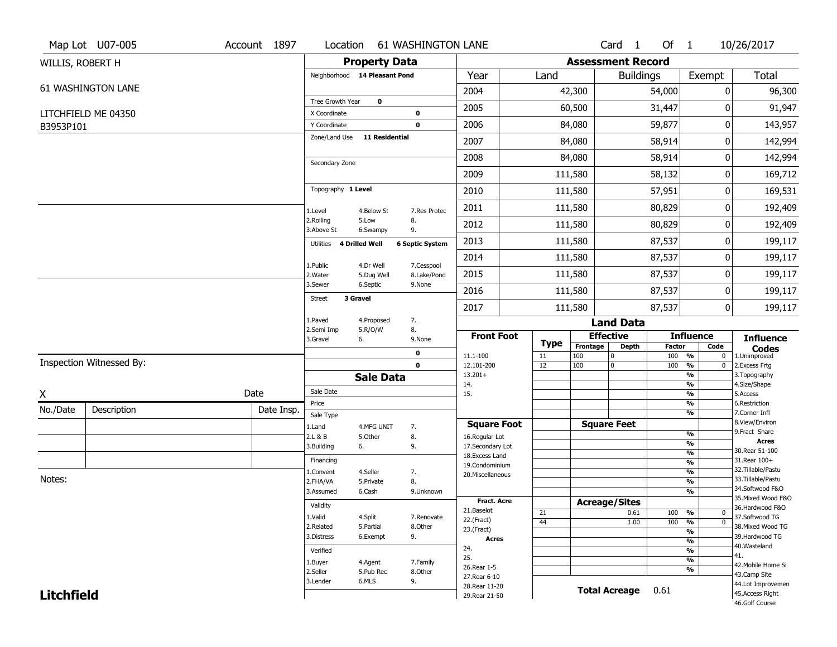|                   | Map Lot U07-005          | Account 1897 | Location                      |                       | <b>61 WASHINGTON LANE</b> |                                    |             |                          | Card <sub>1</sub> | Of 1                 |                                           | 10/26/2017                               |
|-------------------|--------------------------|--------------|-------------------------------|-----------------------|---------------------------|------------------------------------|-------------|--------------------------|-------------------|----------------------|-------------------------------------------|------------------------------------------|
| WILLIS, ROBERT H  |                          |              |                               | <b>Property Data</b>  |                           |                                    |             | <b>Assessment Record</b> |                   |                      |                                           |                                          |
|                   |                          |              | Neighborhood 14 Pleasant Pond |                       |                           | Year                               | Land        |                          | <b>Buildings</b>  |                      | Exempt                                    | <b>Total</b>                             |
|                   | 61 WASHINGTON LANE       |              |                               |                       |                           | 2004                               |             | 42,300                   |                   | 54,000               | 0                                         | 96,300                                   |
|                   |                          |              | Tree Growth Year              | $\mathbf 0$           |                           | 2005                               |             | 60,500                   |                   | 31,447               | 0                                         | 91,947                                   |
|                   | LITCHFIELD ME 04350      |              | X Coordinate<br>Y Coordinate  |                       | $\bf{0}$<br>0             | 2006                               |             | 84,080                   |                   | 59,877               | 0                                         | 143,957                                  |
| B3953P101         |                          |              | Zone/Land Use                 | 11 Residential        |                           |                                    |             |                          |                   |                      |                                           |                                          |
|                   |                          |              |                               |                       |                           | 2007                               |             | 84,080                   |                   | 58,914               | 0                                         | 142,994                                  |
|                   |                          |              | Secondary Zone                |                       |                           | 2008                               |             | 84,080                   |                   | 58,914               | 0                                         | 142,994                                  |
|                   |                          |              |                               |                       |                           | 2009                               |             | 111,580                  |                   | 58,132               | 0                                         | 169,712                                  |
|                   |                          |              | Topography 1 Level            |                       |                           | 2010                               |             | 111,580                  |                   | 57,951               | 0                                         | 169,531                                  |
|                   |                          |              | 1.Level                       | 4.Below St            | 7.Res Protec              | 2011                               |             | 111,580                  |                   | 80,829               | 0                                         | 192,409                                  |
|                   |                          |              | 2.Rolling<br>3.Above St       | 5.Low<br>6.Swampy     | 8.<br>9.                  | 2012                               |             | 111,580                  |                   | 80,829               | 0                                         | 192,409                                  |
|                   |                          |              | Utilities                     | 4 Drilled Well        | <b>6 Septic System</b>    | 2013                               |             | 111,580                  |                   | 87,537               | 0                                         | 199,117                                  |
|                   |                          |              | 1.Public                      | 4.Dr Well             | 7.Cesspool                | 2014                               |             | 111,580                  |                   | 87,537               | 0                                         | 199,117                                  |
|                   |                          |              | 2. Water                      | 5.Dug Well            | 8.Lake/Pond               | 2015                               |             | 111,580                  |                   | 87,537               | 0                                         | 199,117                                  |
|                   |                          |              | 3.Sewer<br>Street             | 6.Septic<br>3 Gravel  | 9.None                    | 2016                               |             | 111,580                  |                   | 87,537               | 0                                         | 199,117                                  |
|                   |                          |              |                               |                       |                           | 2017                               |             | 111,580                  |                   | 87,537               | 0                                         | 199,117                                  |
|                   |                          |              | 1.Paved<br>2.Semi Imp         | 4.Proposed<br>5.R/O/W | 7.<br>8.                  |                                    |             |                          | <b>Land Data</b>  |                      |                                           |                                          |
|                   |                          |              | 3.Gravel                      | 6.                    | 9.None                    | <b>Front Foot</b>                  | <b>Type</b> | <b>Effective</b>         |                   |                      | <b>Influence</b>                          | <b>Influence</b>                         |
|                   |                          |              |                               |                       | 0                         | 11.1-100                           | 11          | Frontage<br>100          | <b>Depth</b><br>0 | <b>Factor</b><br>100 | Code<br>$\frac{9}{6}$<br>$\mathbf 0$      | <b>Codes</b><br>1.Unimproved             |
|                   | Inspection Witnessed By: |              |                               |                       | $\mathbf 0$               | 12.101-200                         | 12          | 100                      | 0                 | 100                  | $\frac{9}{6}$<br>0                        | 2.Excess Frtg                            |
|                   |                          |              |                               | <b>Sale Data</b>      |                           | $13.201+$<br>14.                   |             |                          |                   |                      | %<br>$\frac{9}{6}$                        | 3. Topography<br>4.Size/Shape            |
| X                 |                          | Date         | Sale Date                     |                       |                           | 15.                                |             |                          |                   |                      | $\frac{9}{6}$                             | 5.Access                                 |
| No./Date          | Description              | Date Insp.   | Price<br>Sale Type            |                       |                           |                                    |             |                          |                   |                      | %<br>%                                    | 6.Restriction<br>7.Corner Infl           |
|                   |                          |              | 1.Land                        | 4.MFG UNIT            | 7.                        | <b>Square Foot</b>                 |             | <b>Square Feet</b>       |                   |                      |                                           | 8.View/Environ                           |
|                   |                          |              | 2.L & B                       | 5.Other               | 8.                        | 16.Regular Lot                     |             |                          |                   |                      | $\frac{9}{6}$<br>$\overline{\frac{9}{6}}$ | 9.Fract Share<br><b>Acres</b>            |
|                   |                          |              | 3.Building                    | 6.                    | 9.                        | 17.Secondary Lot<br>18.Excess Land |             |                          |                   |                      | $\frac{9}{6}$                             | 30. Rear 51-100                          |
|                   |                          |              | Financing                     |                       |                           | 19.Condominium                     |             |                          |                   |                      | $\frac{9}{6}$                             | 31.Rear 100+                             |
| Notes:            |                          |              | 1.Convent                     | 4.Seller              | 7.                        | 20.Miscellaneous                   |             |                          |                   |                      | $\frac{9}{6}$                             | 32. Tillable/Pastu<br>33. Tillable/Pastu |
|                   |                          |              | 2.FHA/VA<br>3.Assumed         | 5.Private<br>6.Cash   | 8.<br>9.Unknown           |                                    |             |                          |                   |                      | $\frac{9}{6}$<br>$\frac{9}{6}$            | 34.Softwood F&O                          |
|                   |                          |              |                               |                       |                           | <b>Fract. Acre</b>                 |             | <b>Acreage/Sites</b>     |                   |                      |                                           | 35. Mixed Wood F&O                       |
|                   |                          |              | Validity                      |                       |                           | 21.Baselot                         | 21          |                          | 0.61              | 100                  | %<br>0                                    | 36.Hardwood F&O                          |
|                   |                          |              | 1.Valid                       | 4.Split               | 7.Renovate                | 22.(Fract)                         | 44          |                          | 1.00              | 100                  | $\overline{0}$<br>%                       | 37.Softwood TG                           |
|                   |                          |              | 2.Related                     | 5.Partial             | 8.Other                   | 23.(Fract)                         |             |                          |                   |                      | $\frac{9}{6}$                             | 38. Mixed Wood TG                        |
|                   |                          |              | 3.Distress                    | 6.Exempt              | 9.                        | <b>Acres</b>                       |             |                          |                   |                      | $\frac{9}{6}$                             | 39.Hardwood TG<br>40. Wasteland          |
|                   |                          |              | Verified                      |                       |                           | 24.<br>25.                         |             |                          |                   |                      | $\frac{9}{6}$                             | 41.                                      |
|                   |                          |              | 1.Buyer                       | 4.Agent               | 7.Family                  | 26. Rear 1-5                       |             |                          |                   |                      | $\frac{9}{6}$                             | 42. Mobile Home Si                       |
|                   |                          |              | 2.Seller                      | 5.Pub Rec             | 8.Other                   | 27. Rear 6-10                      |             |                          |                   |                      | $\frac{9}{6}$                             | 43.Camp Site                             |
|                   |                          |              | 3.Lender                      | 6.MLS                 | 9.                        |                                    |             |                          |                   |                      |                                           |                                          |
| <b>Litchfield</b> |                          |              |                               |                       |                           | 28. Rear 11-20<br>29. Rear 21-50   |             | <b>Total Acreage</b>     |                   | 0.61                 |                                           | 44.Lot Improvemen<br>45.Access Right     |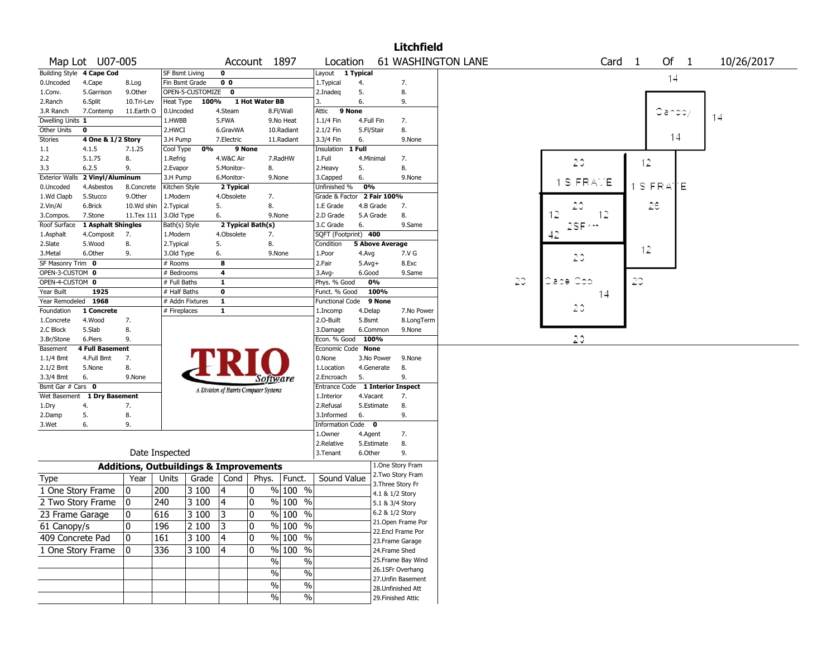|                          |                            |                                                   |                       |                  |                                       |                   |                     |                                  |            |                                       | <b>Litchfield</b> |                    |    |           |                   |           |        |            |
|--------------------------|----------------------------|---------------------------------------------------|-----------------------|------------------|---------------------------------------|-------------------|---------------------|----------------------------------|------------|---------------------------------------|-------------------|--------------------|----|-----------|-------------------|-----------|--------|------------|
|                          | Map Lot U07-005            |                                                   |                       |                  |                                       | Account 1897      |                     | Location                         |            |                                       |                   | 61 WASHINGTON LANE |    |           | Card <sub>1</sub> |           | Of 1   | 10/26/2017 |
|                          | Building Style 4 Cape Cod  |                                                   | <b>SF Bsmt Living</b> |                  | 0                                     |                   |                     | Layout 1 Typical                 |            |                                       |                   |                    |    |           |                   |           | 14     |            |
| 0.Uncoded                | 4.Cape                     | 8.Log                                             | Fin Bsmt Grade        |                  | 0 <sub>0</sub>                        |                   |                     | 1. Typical                       | 4.         | 7.                                    |                   |                    |    |           |                   |           |        |            |
| 1.Conv.                  | 5.Garrison                 | 9.Other                                           |                       | OPEN-5-CUSTOMIZE | $\mathbf 0$                           |                   |                     | 2.Inadeg                         | 5.         | 8.                                    |                   |                    |    |           |                   |           |        |            |
| 2.Ranch                  | 6.Split                    | 10.Tri-Lev                                        | Heat Type             | 100%             |                                       | 1 Hot Water BB    |                     | 3.                               | 6.         | 9.                                    |                   |                    |    |           |                   |           |        |            |
| 3.R Ranch                | 7.Contemp                  | 11.Earth O                                        | 0.Uncoded             |                  | 4.Steam                               |                   | 8.Fl/Wall           | 9 None<br>Attic                  |            |                                       |                   |                    |    |           |                   |           | Candoy | 14         |
| Dwelling Units 1         |                            |                                                   | 1.HWBB                |                  | 5.FWA                                 |                   | 9.No Heat           | 1.1/4 Fin                        | 4.Full Fin | 7.                                    |                   |                    |    |           |                   |           |        |            |
| Other Units              | 0                          |                                                   | 2.HWCI                |                  | 6.GravWA                              |                   | 10.Radiant          | 2.1/2 Fin                        | 5.Fl/Stair | 8.                                    |                   |                    |    |           |                   |           |        |            |
| Stories                  | 4 One & 1/2 Story          |                                                   | 3.H Pump              |                  | 7.Electric                            |                   | 11.Radiant          | 3.3/4 Fin                        | 6.         |                                       | 9.None            |                    |    |           |                   |           | 14     |            |
| 1.1                      | 4.1.5                      | 7.1.25                                            | Cool Type             | 0%               |                                       | 9 None            |                     | Insulation                       | 1 Full     |                                       |                   |                    |    |           |                   |           |        |            |
| 2.2                      | 5.1.75                     | 8.                                                | 1.Refrig              |                  | 4.W&C Air                             |                   | 7.RadHW             | 1.Full                           | 4.Minimal  | 7.                                    |                   |                    |    | 20        |                   | 12        |        |            |
| 3.3                      | 6.2.5                      | 9.                                                | 2.Evapor              |                  | 5.Monitor-                            | 8.                |                     | 2. Heavy                         | 5.         | 8.                                    |                   |                    |    |           |                   |           |        |            |
| <b>Exterior Walls</b>    | 2 Vinyl/Aluminum           |                                                   | 3.H Pump              |                  | 6.Monitor-                            |                   | 9.None              | 3.Capped                         | 6.         |                                       | 9.None            |                    |    | 1 S FRATE |                   |           |        |            |
| 0.Uncoded                | 4.Asbestos                 | 8.Concrete                                        | Kitchen Style         |                  | 2 Typical                             |                   |                     | Unfinished %                     | 0%         |                                       |                   |                    |    |           |                   | $1$ S FRA | ľΕ     |            |
| 1.Wd Clapb               | 5.Stucco                   | 9.0ther                                           | 1.Modern              |                  | 4.Obsolete                            | 7.                |                     | Grade & Factor 2 Fair 100%       |            |                                       |                   |                    |    |           |                   |           |        |            |
| 2.Vin/Al                 | 6.Brick                    | 10.Wd shin                                        | 2.Typical             |                  | 5.                                    | 8.                |                     | 1.E Grade                        | 4.B Grade  | 7.                                    |                   |                    |    | 20        |                   | 28        |        |            |
| 3.Compos.                | 7.Stone                    | 11.Tex 111                                        | 3.Old Type            |                  | 6.                                    |                   | 9.None              | 2.D Grade                        | 5.A Grade  | 8.                                    |                   |                    |    | 12<br>12  |                   |           |        |            |
| Roof Surface             | 1 Asphalt Shingles         |                                                   | Bath(s) Style         |                  |                                       | 2 Typical Bath(s) |                     | 3.C Grade                        | 6.         |                                       | 9.Same            |                    |    | 2SF ~~    |                   |           |        |            |
| 1.Asphalt                | 4.Composit                 | 7.                                                | 1.Modern              |                  | 4.Obsolete                            | 7.                |                     | SQFT (Footprint) 400             |            |                                       |                   |                    |    | 42        |                   |           |        |            |
| 2.Slate                  | 5.Wood                     | 8.                                                | 2. Typical            |                  | 5.                                    | 8.                |                     | Condition                        |            | <b>5 Above Average</b>                |                   |                    |    |           |                   | 12        |        |            |
| 3.Metal                  | 6.Other                    | 9.                                                | 3.Old Type            |                  | 6.                                    |                   | 9.None              | 1.Poor                           | 4.Avg      |                                       | 7.V G             |                    |    | 20        |                   |           |        |            |
| SF Masonry Trim 0        |                            |                                                   | # Rooms               |                  | 8                                     |                   |                     | 2.Fair                           | $5.Avg+$   |                                       | 8.Exc             |                    |    |           |                   |           |        |            |
| OPEN-3-CUSTOM 0          |                            |                                                   | # Bedrooms            |                  | $\overline{\mathbf{4}}$               |                   |                     | 3.Avg-                           | 6.Good     |                                       | 9.Same            |                    |    |           |                   |           |        |            |
| OPEN-4-CUSTOM 0          |                            |                                                   | # Full Baths          |                  | $\mathbf{1}$                          |                   |                     | Phys. % Good                     | 0%         |                                       |                   |                    | 20 | Cape Cop  |                   | 20        |        |            |
| Year Built               | 1925                       |                                                   | # Half Baths          |                  | $\mathbf 0$                           |                   |                     | Funct. % Good                    |            | 100%                                  |                   |                    |    | 14        |                   |           |        |            |
| Year Remodeled 1968      |                            |                                                   | # Addn Fixtures       |                  | $\mathbf{1}$                          |                   |                     | <b>Functional Code</b>           |            | 9 None                                |                   |                    |    | 20        |                   |           |        |            |
| Foundation               | 1 Concrete                 |                                                   | # Fireplaces          |                  | $\mathbf{1}$                          |                   |                     | 1.Incomp                         | 4.Delap    |                                       | 7.No Power        |                    |    |           |                   |           |        |            |
| 1.Concrete               | 4.Wood                     | 7.                                                |                       |                  |                                       |                   |                     | 2.0-Built                        | 5.Bsmt     |                                       | 8.LongTerm        |                    |    |           |                   |           |        |            |
| 2.C Block                | 5.Slab                     | 8.                                                |                       |                  |                                       |                   |                     | 3.Damage                         | 6.Common   |                                       | 9.None            |                    |    | 20        |                   |           |        |            |
| 3.Br/Stone               | 6.Piers<br>4 Full Basement | 9.                                                |                       |                  |                                       |                   |                     | Econ. % Good                     | 100%       |                                       |                   |                    |    |           |                   |           |        |            |
| Basement                 | 4.Full Bmt                 | 7.                                                |                       |                  |                                       |                   |                     | Economic Code None<br>0.None     | 3.No Power |                                       | 9.None            |                    |    |           |                   |           |        |            |
| $1.1/4$ Bmt<br>2.1/2 Bmt | 5.None                     | 8.                                                |                       |                  |                                       |                   |                     | 1.Location                       | 4.Generate | 8.                                    |                   |                    |    |           |                   |           |        |            |
| 3.3/4 Bmt                | 6.                         | 9.None                                            |                       |                  |                                       |                   |                     | 2.Encroach                       | 5.         | 9.                                    |                   |                    |    |           |                   |           |        |            |
| Bsmt Gar # Cars 0        |                            |                                                   |                       |                  |                                       | Software          |                     | Entrance Code 1 Interior Inspect |            |                                       |                   |                    |    |           |                   |           |        |            |
| Wet Basement             | 1 Dry Basement             |                                                   |                       |                  | A Division of Harris Computer Systems |                   |                     | 1.Interior                       | 4.Vacant   | 7.                                    |                   |                    |    |           |                   |           |        |            |
| 1.Dry                    | 4.                         | 7.                                                |                       |                  |                                       |                   |                     | 2.Refusal                        | 5.Estimate | 8.                                    |                   |                    |    |           |                   |           |        |            |
| 2.Damp                   | 5.                         | 8.                                                |                       |                  |                                       |                   |                     | 3.Informed                       | 6.         | 9.                                    |                   |                    |    |           |                   |           |        |            |
| 3.Wet                    | 6.                         | 9.                                                |                       |                  |                                       |                   |                     | Information Code 0               |            |                                       |                   |                    |    |           |                   |           |        |            |
|                          |                            |                                                   |                       |                  |                                       |                   |                     | 1.Owner                          | 4.Agent    | 7.                                    |                   |                    |    |           |                   |           |        |            |
|                          |                            |                                                   |                       |                  |                                       |                   |                     | 2.Relative                       | 5.Estimate | 8.                                    |                   |                    |    |           |                   |           |        |            |
|                          |                            |                                                   | Date Inspected        |                  |                                       |                   |                     | 3.Tenant                         | 6.Other    | 9.                                    |                   |                    |    |           |                   |           |        |            |
|                          |                            |                                                   |                       |                  |                                       |                   |                     |                                  |            |                                       |                   |                    |    |           |                   |           |        |            |
|                          |                            | <b>Additions, Outbuildings &amp; Improvements</b> |                       |                  |                                       |                   |                     |                                  |            | 1.One Story Fram<br>2. Two Story Fram |                   |                    |    |           |                   |           |        |            |
| Type                     |                            | Year                                              | Units                 |                  | Grade   Cond                          | Phys.             | $ $ Funct.          | Sound Value                      |            | 3. Three Story Fr                     |                   |                    |    |           |                   |           |        |            |
| 1 One Story Frame        |                            | 0                                                 | 200                   | 3100             | 4                                     | 0                 | % 100 %             |                                  |            | 4.1 & 1/2 Story                       |                   |                    |    |           |                   |           |        |            |
|                          | 2 Two Story Frame          | 10                                                | 240                   | 3 100            | 4                                     | 0                 | % 100 %             |                                  |            | 5.1 & 3/4 Story                       |                   |                    |    |           |                   |           |        |            |
|                          |                            |                                                   |                       |                  |                                       |                   |                     |                                  |            | 6.2 & 1/2 Story                       |                   |                    |    |           |                   |           |        |            |
| 23 Frame Garage          |                            | $\mathbf{0}$                                      | 616                   | 3 100            | 3                                     | 0                 | % 100 %             |                                  |            | 21.Open Frame Por                     |                   |                    |    |           |                   |           |        |            |
| $\overline{61}$ Canopy/s |                            | 10                                                | 196                   | 2 100            | 3                                     | 0                 | % 100 %             |                                  |            | 22.Encl Frame Por                     |                   |                    |    |           |                   |           |        |            |
| 409 Concrete Pad         |                            | 10.                                               | 161                   | 3100             | 4                                     | 0                 | $%100$ %            |                                  |            | 23. Frame Garage                      |                   |                    |    |           |                   |           |        |            |
| 1 One Story Frame        |                            | 0                                                 | 336                   | 3 100            | 4                                     | 10                | $\frac{9}{6}$ 100 % |                                  |            | 24.Frame Shed                         |                   |                    |    |           |                   |           |        |            |
|                          |                            |                                                   |                       |                  |                                       | $\frac{1}{2}$     |                     |                                  |            | 25.Frame Bay Wind                     |                   |                    |    |           |                   |           |        |            |
|                          |                            |                                                   |                       |                  |                                       |                   | $\%$                |                                  |            | 26.1SFr Overhang                      |                   |                    |    |           |                   |           |        |            |
|                          |                            |                                                   |                       |                  |                                       | $\sqrt{6}$        | $\%$                |                                  |            | 27.Unfin Basement                     |                   |                    |    |           |                   |           |        |            |
|                          |                            |                                                   |                       |                  |                                       | $\sqrt{6}$        | $\%$                |                                  |            | 28.Unfinished Att                     |                   |                    |    |           |                   |           |        |            |
|                          |                            |                                                   |                       |                  |                                       | $\frac{0}{0}$     | $\%$                |                                  |            | 29. Finished Attic                    |                   |                    |    |           |                   |           |        |            |
|                          |                            |                                                   |                       |                  |                                       |                   |                     |                                  |            |                                       |                   |                    |    |           |                   |           |        |            |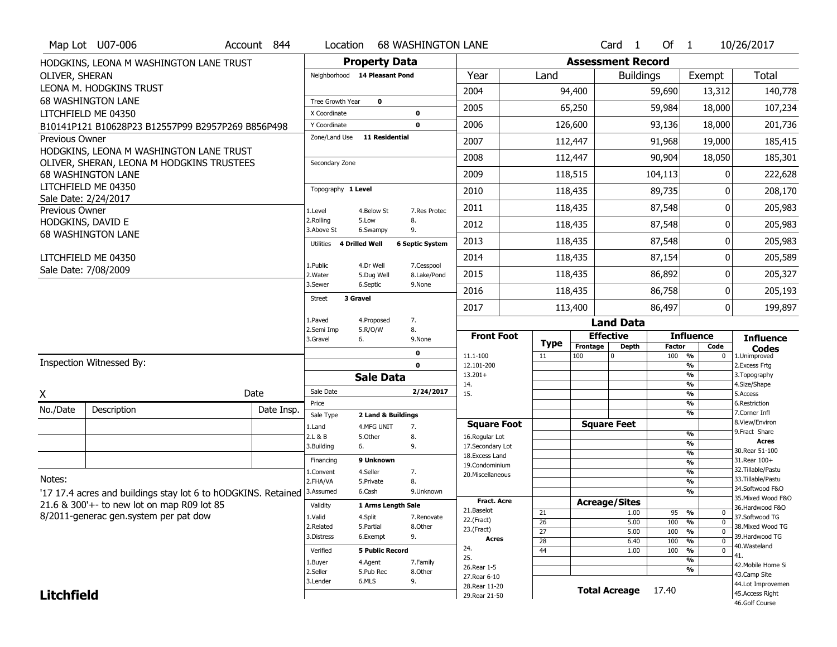|                       | Map Lot U07-006                                                          | Account 844 | Location                     |                               | <b>68 WASHINGTON LANE</b>  |                                   |                       |                      | Card <sub>1</sub>    | Of $1$        |                                                      | 10/26/2017                            |  |
|-----------------------|--------------------------------------------------------------------------|-------------|------------------------------|-------------------------------|----------------------------|-----------------------------------|-----------------------|----------------------|----------------------|---------------|------------------------------------------------------|---------------------------------------|--|
|                       | HODGKINS, LEONA M WASHINGTON LANE TRUST                                  |             |                              | <b>Property Data</b>          |                            | <b>Assessment Record</b>          |                       |                      |                      |               |                                                      |                                       |  |
| OLIVER, SHERAN        |                                                                          |             |                              | Neighborhood 14 Pleasant Pond |                            | Year                              | Land                  |                      | <b>Buildings</b>     |               | Exempt                                               | Total                                 |  |
|                       | LEONA M. HODGKINS TRUST                                                  |             |                              |                               |                            | 2004                              |                       | 94,400               | 59,690               |               | 13,312                                               | 140,778                               |  |
|                       | <b>68 WASHINGTON LANE</b>                                                |             | Tree Growth Year             | $\mathbf 0$                   |                            | 2005                              |                       | 65,250               |                      | 59,984        | 18,000                                               | 107,234                               |  |
|                       | LITCHFIELD ME 04350<br>B10141P121 B10628P23 B12557P99 B2957P269 B856P498 |             | X Coordinate<br>Y Coordinate |                               | $\mathbf 0$<br>$\mathbf 0$ | 2006                              | 126,600               |                      |                      | 93,136        | 18,000                                               | 201,736                               |  |
| <b>Previous Owner</b> |                                                                          |             | Zone/Land Use                | <b>11 Residential</b>         |                            | 2007                              | 112,447               |                      |                      | 91,968        | 19,000                                               | 185,415                               |  |
|                       | HODGKINS, LEONA M WASHINGTON LANE TRUST                                  |             |                              |                               |                            |                                   |                       |                      |                      |               |                                                      |                                       |  |
|                       | OLIVER, SHERAN, LEONA M HODGKINS TRUSTEES                                |             | Secondary Zone               |                               |                            | 2008                              |                       | 112,447              |                      | 90,904        | 18,050                                               | 185,301                               |  |
|                       | <b>68 WASHINGTON LANE</b>                                                |             |                              |                               |                            | 2009                              |                       | 118,515              |                      | 104,113       | U                                                    | 222,628                               |  |
|                       | LITCHFIELD ME 04350<br>Sale Date: 2/24/2017                              |             | Topography 1 Level           |                               |                            | 2010                              |                       | 118,435              |                      | 89,735        | 0                                                    | 208,170                               |  |
| Previous Owner        |                                                                          |             | 1.Level                      | 4.Below St                    | 7.Res Protec               | 2011                              |                       | 118,435              |                      | 87,548        | 0                                                    | 205,983                               |  |
|                       | HODGKINS, DAVID E                                                        |             | 2.Rolling<br>3.Above St      | 5.Low<br>6.Swampy             | 8.<br>9.                   | 2012                              |                       | 118,435              |                      | 87,548        | 0                                                    | 205,983                               |  |
|                       | <b>68 WASHINGTON LANE</b>                                                |             | Utilities                    | 4 Drilled Well                | <b>6 Septic System</b>     | 2013                              |                       | 118,435              |                      | 87,548        | 0                                                    | 205,983                               |  |
|                       | LITCHFIELD ME 04350                                                      |             | 1.Public                     | 4.Dr Well                     |                            | 2014                              |                       | 118,435              | 87,154               |               | 0                                                    | 205,589                               |  |
|                       | Sale Date: 7/08/2009                                                     |             | 2.Water                      | 5.Dug Well                    | 7.Cesspool<br>8.Lake/Pond  | 2015                              |                       | 118,435              | 86,892               |               | 0                                                    | 205,327                               |  |
|                       |                                                                          |             | 3.Sewer                      | 6.Septic                      | 9.None                     | 2016                              |                       | 118,435              | 86,758               |               | 0                                                    | 205,193                               |  |
|                       |                                                                          |             | <b>Street</b>                | 3 Gravel                      |                            | 2017                              |                       | 113,400              | 86,497               |               | 0                                                    | 199,897                               |  |
|                       |                                                                          |             | 1.Paved                      | 4.Proposed                    | 7.                         |                                   |                       |                      | <b>Land Data</b>     |               |                                                      |                                       |  |
|                       |                                                                          |             |                              |                               |                            |                                   |                       |                      |                      |               |                                                      |                                       |  |
|                       |                                                                          |             | 2.Semi Imp<br>3.Gravel       | 5.R/O/W<br>6.                 | 8.<br>9.None               | <b>Front Foot</b>                 |                       | <b>Effective</b>     |                      |               | <b>Influence</b>                                     |                                       |  |
|                       |                                                                          |             |                              |                               | 0                          |                                   | Type                  | Frontage             | <b>Depth</b>         | <b>Factor</b> | Code                                                 | <b>Influence</b><br><b>Codes</b>      |  |
|                       | <b>Inspection Witnessed By:</b>                                          |             |                              |                               | $\mathbf 0$                | 11.1-100<br>12.101-200            | 11                    | 100                  |                      | 100 %         | 0<br>%                                               | 1.Unimproved<br>2.Excess Frtg         |  |
|                       |                                                                          |             |                              | <b>Sale Data</b>              |                            | $13.201+$                         |                       |                      |                      |               | %                                                    | 3. Topography                         |  |
| X                     |                                                                          | Date        | Sale Date                    |                               | 2/24/2017                  | 14.<br>15.                        |                       |                      |                      |               | $\overline{\frac{9}{6}}$<br>$\overline{\frac{9}{6}}$ | 4.Size/Shape<br>5.Access              |  |
| No./Date              | Description                                                              | Date Insp.  | Price                        |                               |                            |                                   |                       |                      |                      |               | %                                                    | 6.Restriction                         |  |
|                       |                                                                          |             | Sale Type                    | 2 Land & Buildings            |                            | <b>Square Foot</b>                |                       | <b>Square Feet</b>   |                      |               | %                                                    | 7.Corner Infl<br>8.View/Environ       |  |
|                       |                                                                          |             | 1.Land<br>2.L & B            | 4.MFG UNIT<br>5.0ther         | 7.<br>8.                   | 16.Regular Lot                    |                       |                      |                      |               | %                                                    | 9.Fract Share                         |  |
|                       |                                                                          |             | 3.Building                   | 6.                            | 9.                         | 17.Secondary Lot                  |                       |                      |                      |               | %                                                    | <b>Acres</b><br>30. Rear 51-100       |  |
|                       |                                                                          |             | Financing                    | 9 Unknown                     |                            | 18. Excess Land<br>19.Condominium |                       |                      |                      |               | %<br>%                                               | 31.Rear 100+                          |  |
|                       |                                                                          |             | 1.Convent                    | 4.Seller                      | 7.                         | 20.Miscellaneous                  |                       |                      |                      |               | %                                                    | 32.Tillable/Pastu                     |  |
| Notes:                |                                                                          |             | 2.FHA/VA                     | 5.Private                     | 8.                         |                                   |                       |                      |                      |               | %                                                    | 33. Tillable/Pastu                    |  |
|                       | '17 17.4 acres and buildings stay lot 6 to hODGKINS. Retained            |             | 3.Assumed                    | 6.Cash                        | 9.Unknown                  | <b>Fract. Acre</b>                |                       |                      |                      |               | %                                                    | 34.Softwood F&O<br>35. Mixed Wood F&O |  |
|                       | 21.6 & 300'+- to new lot on map R09 lot 85                               |             | Validity                     | 1 Arms Length Sale            |                            | 21.Baselot                        |                       | <b>Acreage/Sites</b> |                      |               |                                                      | 36.Hardwood F&O                       |  |
|                       | 8/2011-generac gen.system per pat dow                                    |             | 1.Valid                      | 4.Split                       | 7.Renovate                 | 22.(Fract)                        | 21<br>$\overline{26}$ |                      | 1.00<br>5.00         | 95<br>100     | %<br>0<br>$\overline{0}$<br>%                        | 37.Softwood TG                        |  |
|                       |                                                                          |             | 2.Related                    | 5.Partial                     | 8.Other                    | 23.(Fract)                        | $\overline{27}$       |                      | 5.00                 | 100           | $\frac{9}{6}$<br>$\mathbf 0$                         | 38. Mixed Wood TG                     |  |
|                       |                                                                          |             | 3.Distress                   | 6.Exempt                      | 9.                         | Acres                             | $\overline{28}$       |                      | 6.40                 | 100           | $\overline{0}$<br>%                                  | 39.Hardwood TG<br>40.Wasteland        |  |
|                       |                                                                          |             | Verified                     | <b>5 Public Record</b>        |                            | 24.<br>25.                        | $\overline{44}$       |                      | 1.00                 | 100           | %<br>$\bf{0}$                                        | 41.                                   |  |
|                       |                                                                          |             | 1.Buyer                      | 4.Agent                       | 7.Family                   | 26.Rear 1-5                       |                       |                      |                      |               | %<br>%                                               | 42. Mobile Home Si                    |  |
|                       |                                                                          |             | 2.Seller<br>3.Lender         | 5.Pub Rec<br>6.MLS            | 8.Other                    | 27. Rear 6-10                     |                       |                      |                      |               |                                                      | 43.Camp Site                          |  |
| <b>Litchfield</b>     |                                                                          |             |                              |                               | 9.                         | 28. Rear 11-20<br>29. Rear 21-50  |                       |                      | <b>Total Acreage</b> | 17.40         |                                                      | 44.Lot Improvemen<br>45.Access Right  |  |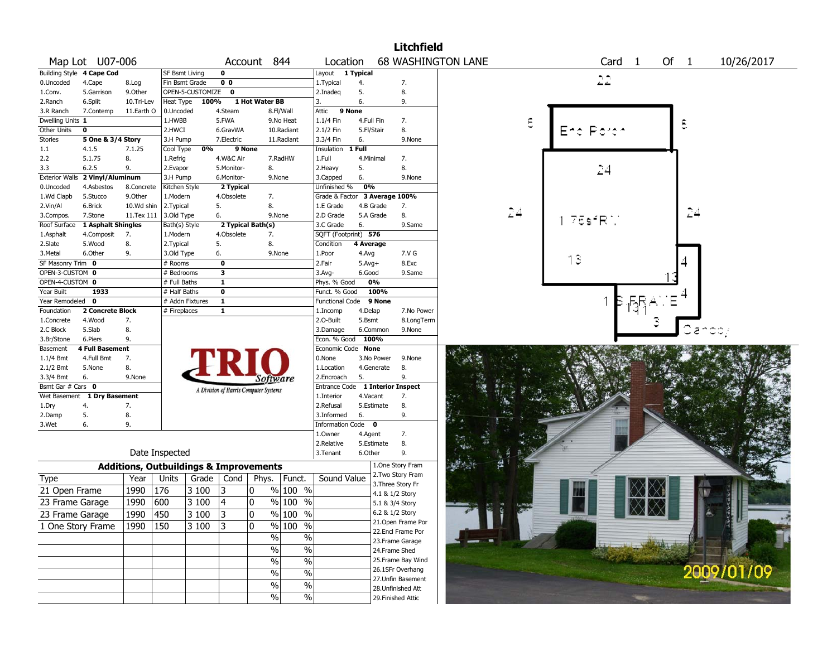|                       |                             |                   |                                                   |                  |                         |                                       |                                 |                                  |           |            | <b>Litchfield</b>  |                           |                   |      |            |
|-----------------------|-----------------------------|-------------------|---------------------------------------------------|------------------|-------------------------|---------------------------------------|---------------------------------|----------------------------------|-----------|------------|--------------------|---------------------------|-------------------|------|------------|
|                       | Map Lot U07-006             |                   |                                                   |                  |                         | Account 844                           |                                 | Location                         |           |            |                    | <b>68 WASHINGTON LANE</b> | Card <sub>1</sub> | Of 1 | 10/26/2017 |
|                       | Building Style 4 Cape Cod   |                   | SF Bsmt Living                                    |                  | $\Omega$                |                                       |                                 | Layout                           | 1 Typical |            |                    |                           |                   |      |            |
| 0.Uncoded             | 4.Cape                      | 8.Log             | Fin Bsmt Grade                                    |                  | $\overline{0}$          |                                       |                                 | 1. Typical                       | 4.        |            | 7.                 |                           | 22                |      |            |
| 1.Conv.               | 5.Garrison                  | 9.Other           |                                                   | OPEN-5-CUSTOMIZE | $\bf{0}$                |                                       |                                 | 2.Inadeg                         | 5.        |            | 8.                 |                           |                   |      |            |
| 2.Ranch               | 6.Split                     | 10.Tri-Lev        | Heat Type                                         | 100%             |                         | 1 Hot Water BB                        |                                 | 3.                               | 6.        |            | 9.                 |                           |                   |      |            |
| 3.R Ranch             | 7.Contemp                   | 11.Earth O        | 0.Uncoded                                         |                  | 4.Steam                 |                                       | 8.Fl/Wall                       | Attic                            | 9 None    |            |                    |                           |                   |      |            |
| Dwelling Units 1      |                             |                   | 1.HWBB                                            |                  | 5.FWA                   |                                       | 9.No Heat                       | $1.1/4$ Fin                      |           | 4.Full Fin | 7.                 | ε                         |                   | ε    |            |
| Other Units           | 0                           |                   | 2.HWCI                                            |                  | 6.GravWA                |                                       | 10.Radiant                      | 2.1/2 Fin                        |           | 5.Fl/Stair | 8.                 |                           |                   |      |            |
| Stories               | 5 One & 3/4 Story           |                   | 3.H Pump                                          |                  | 7.Electric              |                                       | 11.Radiant                      | 3.3/4 Fin                        | 6.        |            | 9.None             |                           |                   |      |            |
| 1.1                   | 4.1.5                       | 7.1.25            | Cool Type                                         | 0%               |                         | 9 None                                |                                 | Insulation                       | 1 Full    |            |                    |                           |                   |      |            |
| 2.2                   | 5.1.75                      | 8.                | 1.Refrig                                          |                  | 4.W&C Air               |                                       | 7.RadHW                         | 1.Full                           |           | 4.Minimal  | 7.                 |                           |                   |      |            |
| 3.3                   | 6.2.5                       | 9.                | 2.Evapor                                          |                  | 5.Monitor-              | 8.                                    |                                 | 2. Heavy                         | 5.        |            | 8.                 |                           | 24                |      |            |
| <b>Exterior Walls</b> | 2 Vinyl/Aluminum            |                   | 3.H Pump                                          |                  | 6.Monitor-              |                                       | 9.None                          | 3.Capped                         | 6.        |            | 9.None             |                           |                   |      |            |
| 0.Uncoded             | 4.Asbestos                  | 8.Concrete        | Kitchen Style                                     |                  | 2 Typical               |                                       |                                 | Unfinished %                     | 0%        |            |                    |                           |                   |      |            |
| 1.Wd Clapb            | 5.Stucco                    | 9.Other           | 1.Modern                                          |                  | 4.Obsolete              | 7.                                    |                                 | Grade & Factor                   |           |            | 3 Average 100%     |                           |                   |      |            |
| 2.Vin/Al              | 6.Brick                     | 10.Wd shin        | 2.Typical                                         |                  | 5.                      | 8.                                    |                                 | 1.E Grade                        |           | 4.B Grade  | 7.                 |                           |                   |      |            |
| 3.Compos.             | 7.Stone                     | 11.Tex 111        | 3.Old Type                                        |                  | 6.                      |                                       | 9.None                          | 2.D Grade                        |           | 5.A Grade  | 8.                 | 24                        |                   | 24   |            |
| Roof Surface          | 1 Asphalt Shingles          |                   | Bath(s) Style                                     |                  |                         | 2 Typical Bath(s)                     |                                 | 3.C Grade                        | 6.        |            | 9.Same             |                           | 75sfRN            |      |            |
| 1.Asphalt             | 4.Composit                  | 7.                | 1.Modern                                          |                  | 4.Obsolete              | 7.                                    |                                 | SQFT (Footprint) 576             |           |            |                    |                           |                   |      |            |
| 2.Slate               | 5.Wood                      | 8.                | 2. Typical                                        |                  | 5.                      | 8.                                    |                                 | Condition                        | 4 Average |            |                    |                           |                   |      |            |
| 3.Metal               | 6.Other                     | 9.                | 3.Old Type                                        |                  | 6.                      |                                       | 9.None                          | 1.Poor                           | 4.Avg     |            | 7.V G              |                           |                   |      |            |
| SF Masonry Trim 0     |                             |                   | # Rooms                                           |                  | 0                       |                                       |                                 | 2.Fair                           | $5.Avg+$  |            | 8.Exc              |                           | 13                |      |            |
| OPEN-3-CUSTOM 0       |                             |                   | # Bedrooms                                        |                  | $\overline{\mathbf{3}}$ |                                       |                                 | $3.$ Avg-                        | 6.Good    |            | 9.Same             |                           |                   |      |            |
| OPEN-4-CUSTOM 0       |                             |                   | # Full Baths                                      |                  | $\mathbf 1$             |                                       |                                 | Phys. % Good                     |           | 0%         |                    |                           |                   |      |            |
| Year Built            | 1933                        |                   | # Half Baths                                      |                  | $\overline{\mathbf{0}}$ |                                       |                                 | Funct. % Good                    |           | 100%       |                    |                           |                   |      |            |
| Year Remodeled 0      |                             |                   |                                                   | # Addn Fixtures  | $\mathbf{1}$            |                                       |                                 | Functional Code                  |           | 9 None     |                    |                           |                   |      |            |
| Foundation            | <b>2 Concrete Block</b>     |                   | # Fireplaces                                      |                  | $\mathbf{1}$            |                                       |                                 | 1.Incomp                         | 4.Delap   |            | 7.No Power         |                           |                   |      |            |
| 1.Concrete            | 4.Wood                      | 7.                |                                                   |                  |                         |                                       |                                 | 2.O-Built                        | 5.Bsmt    |            | 8.LongTerm         |                           |                   |      |            |
| 2.C Block             | 5.Slab                      | 8.                |                                                   |                  |                         |                                       |                                 | 3.Damage                         |           | 6.Common   | 9.None             |                           |                   |      |            |
| 3.Br/Stone            | 6.Piers                     | 9.                |                                                   |                  |                         |                                       |                                 | Econ. % Good                     |           | 100%       |                    |                           |                   |      |            |
| Basement              | <b>4 Full Basement</b>      |                   |                                                   |                  |                         |                                       |                                 | Economic Code None               |           |            |                    |                           |                   |      |            |
| 1.1/4 Bmt             | 4.Full Bmt                  | 7.                |                                                   |                  |                         |                                       |                                 | 0.None                           |           | 3.No Power | 9.None             |                           |                   |      |            |
| $2.1/2$ Bmt           | 5.None                      | 8.                |                                                   |                  |                         |                                       |                                 | 1.Location                       |           | 4.Generate | 8.                 |                           |                   |      |            |
| 3.3/4 Bmt             | 6.                          | 9.None            |                                                   |                  |                         | Software                              |                                 | 2.Encroach                       | 5.        |            | 9.                 |                           |                   |      |            |
| Bsmt Gar # Cars 0     |                             |                   |                                                   |                  |                         |                                       |                                 | Entrance Code 1 Interior Inspect |           |            |                    |                           |                   |      |            |
|                       | Wet Basement 1 Dry Basement |                   |                                                   |                  |                         | A Division of Harris Computer Systems |                                 | 1.Interior                       |           | 4.Vacant   | 7.                 |                           |                   |      |            |
| 1.Dry                 | 4.                          | 7.                |                                                   |                  |                         |                                       |                                 | 2.Refusal                        |           | 5.Estimate | 8.                 |                           |                   |      |            |
| 2.Damp                | 5.                          | 8.                |                                                   |                  |                         |                                       |                                 | 3.Informed                       | 6.        |            | 9.                 |                           |                   |      |            |
| 3.Wet                 | 6.                          | 9.                |                                                   |                  |                         |                                       |                                 | Information Code 0               |           |            |                    |                           |                   |      |            |
|                       |                             |                   |                                                   |                  |                         |                                       |                                 | 1.0wner                          | 4.Agent   |            | 7.                 |                           |                   |      |            |
|                       |                             |                   |                                                   |                  |                         |                                       |                                 | 2.Relative                       |           | 5.Estimate | 8.                 |                           |                   |      |            |
|                       |                             |                   | Date Inspected                                    |                  |                         |                                       |                                 | 3.Tenant                         | 6.Other   |            | 9.                 |                           |                   |      |            |
|                       |                             |                   | <b>Additions, Outbuildings &amp; Improvements</b> |                  |                         |                                       |                                 |                                  |           |            | 1.One Story Fram   |                           |                   |      |            |
| Type                  |                             | Year              | Units                                             | Grade            | Cond                    | Phys.                                 | Funct.                          | Sound Value                      |           |            | 2. Two Story Fram  |                           |                   |      |            |
| 21 Open Frame         |                             | 1990              | 176                                               | 3 100            | 3                       | 10                                    | % 100 %                         |                                  |           |            | 3. Three Story Fr  |                           |                   |      |            |
|                       |                             |                   |                                                   |                  |                         |                                       |                                 |                                  |           |            | 4.1 & 1/2 Story    |                           |                   |      |            |
| 23 Frame Garage       |                             | 1990              | 600                                               | 3 100            | 4                       | 0                                     | $\frac{9}{6}$ 100 $\frac{1}{6}$ |                                  |           |            | 5.1 & 3/4 Story    |                           |                   |      |            |
| 23 Frame Garage       |                             | $\overline{1990}$ | $\sqrt{450}$                                      | 3 100            | 3                       | 0                                     | $\frac{9}{6}$ 100 %             |                                  |           |            | 6.2 & 1/2 Story    |                           |                   |      |            |
| 1 One Story Frame     |                             | 1990   150        |                                                   | 3 100            | 3                       | 0                                     | % 100 %                         |                                  |           |            | 21. Open Frame Por |                           |                   |      |            |
|                       |                             |                   |                                                   |                  |                         | $\%$                                  | $\%$                            |                                  |           |            | 22.Encl Frame Por  |                           |                   |      |            |
|                       |                             |                   |                                                   |                  |                         |                                       |                                 |                                  |           |            | 23. Frame Garage   |                           |                   |      |            |
|                       |                             |                   |                                                   |                  |                         | %                                     | $\%$                            |                                  |           |            | 24.Frame Shed      |                           |                   |      |            |
|                       |                             |                   |                                                   |                  |                         | $\%$                                  | $\%$                            |                                  |           |            | 25. Frame Bay Wind |                           |                   |      |            |
|                       |                             |                   |                                                   |                  |                         | $\%$                                  | $\%$                            |                                  |           |            | 26.1SFr Overhang   |                           |                   |      | 2009/01/09 |
|                       |                             |                   |                                                   |                  |                         | $\%$                                  | $\%$                            |                                  |           |            | 27. Unfin Basement |                           |                   |      |            |
|                       |                             |                   |                                                   |                  |                         | $\%$                                  | $\%$                            |                                  |           |            | 28. Unfinished Att |                           |                   |      |            |
|                       |                             |                   |                                                   |                  |                         |                                       |                                 |                                  |           |            | 29. Finished Attic |                           |                   |      |            |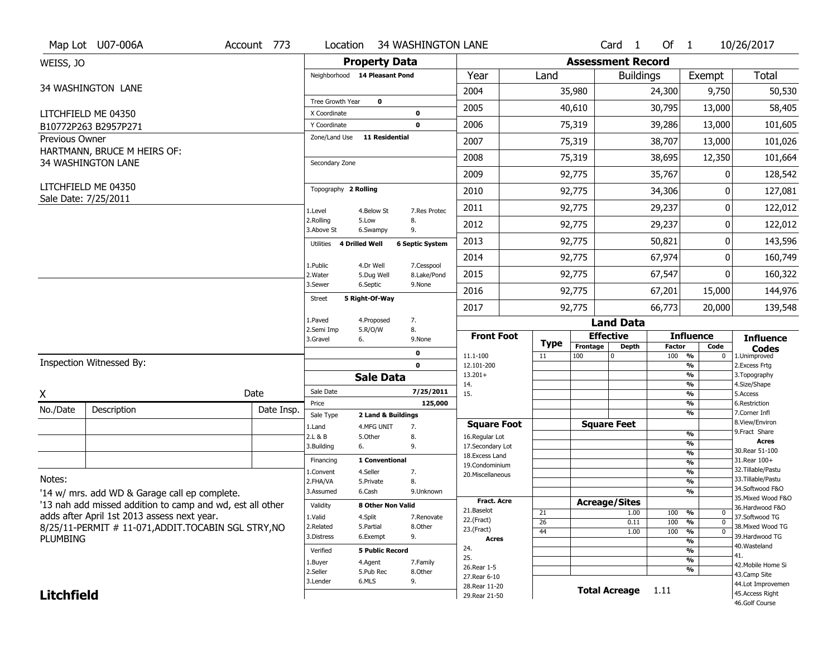|                   | Map Lot U07-006A                                          | Account 773           | Location                          | <b>34 WASHINGTON LANE</b>         |                        |                                   |                  |                      | Card <sub>1</sub>        | Of $1$               |                              | 10/26/2017                            |  |  |
|-------------------|-----------------------------------------------------------|-----------------------|-----------------------------------|-----------------------------------|------------------------|-----------------------------------|------------------|----------------------|--------------------------|----------------------|------------------------------|---------------------------------------|--|--|
| WEISS, JO         |                                                           |                       |                                   | <b>Property Data</b>              |                        | <b>Assessment Record</b>          |                  |                      |                          |                      |                              |                                       |  |  |
|                   |                                                           |                       |                                   | Neighborhood 14 Pleasant Pond     |                        | Year                              | Land             |                      | <b>Buildings</b>         |                      | Exempt                       | Total                                 |  |  |
|                   | 34 WASHINGTON LANE                                        |                       |                                   |                                   |                        | 2004                              | 35,980           |                      |                          | 24,300               | 9,750                        | 50,530                                |  |  |
|                   |                                                           |                       | Tree Growth Year                  | $\mathbf 0$                       |                        | 2005                              |                  | 40,610               |                          | 30,795               | 13,000                       | 58,405                                |  |  |
|                   | LITCHFIELD ME 04350                                       |                       | X Coordinate<br>Y Coordinate      |                                   | 0<br>$\mathbf 0$       | 2006                              |                  | 75,319               |                          | 39,286               | 13,000                       | 101,605                               |  |  |
| Previous Owner    | B10772P263 B2957P271                                      |                       | Zone/Land Use                     | <b>11 Residential</b>             |                        |                                   |                  |                      |                          |                      |                              |                                       |  |  |
|                   | HARTMANN, BRUCE M HEIRS OF:                               |                       |                                   |                                   |                        | 2007                              |                  | 75,319               |                          | 38,707               | 13,000                       | 101,026                               |  |  |
|                   | 34 WASHINGTON LANE                                        |                       | Secondary Zone                    |                                   |                        | 2008                              |                  | 75,319               |                          | 38,695               | 12,350                       | 101,664                               |  |  |
|                   |                                                           |                       |                                   |                                   |                        | 2009                              |                  | 92,775               |                          | 35,767               | 0                            | 128,542                               |  |  |
|                   | LITCHFIELD ME 04350                                       |                       | Topography 2 Rolling              |                                   |                        | 2010                              |                  | 92,775               |                          | 34,306               | ŋ                            | 127,081                               |  |  |
|                   | Sale Date: 7/25/2011                                      |                       | 1.Level                           | 4.Below St                        | 7.Res Protec           | 2011                              |                  | 92,775               |                          | 29,237               | ŋ                            | 122,012                               |  |  |
|                   |                                                           |                       | 2.Rolling<br>3.Above St           | 5.Low<br>6.Swampy                 | 8.<br>9.               | 2012                              |                  | 92,775               |                          | 29,237               | 0                            | 122,012                               |  |  |
|                   |                                                           |                       | Utilities<br>4 Drilled Well       |                                   | <b>6 Septic System</b> | 2013                              |                  | 92,775               | 50,821                   |                      | 0                            | 143,596                               |  |  |
|                   |                                                           |                       | 1.Public                          | 4.Dr Well                         | 7.Cesspool             | 2014                              |                  | 92,775               |                          | 67,974               | 0                            | 160,749                               |  |  |
|                   |                                                           |                       | 2. Water                          | 5.Dug Well                        | 8.Lake/Pond            | 2015                              |                  | 92,775               | 67,547                   |                      | 0                            | 160,322                               |  |  |
|                   |                                                           |                       | 3.Sewer                           | 6.Septic<br>5 Right-Of-Way        | 9.None                 | 2016                              |                  | 92,775               |                          | 67,201               | 15,000                       | 144,976                               |  |  |
|                   |                                                           | <b>Street</b>         |                                   |                                   | 2017                   | 92,775                            |                  | 66,773               |                          | 20,000               | 139,548                      |                                       |  |  |
|                   |                                                           | 1.Paved<br>2.Semi Imp | 4.Proposed<br>7.<br>5.R/O/W<br>8. |                                   |                        |                                   |                  | <b>Land Data</b>     |                          |                      |                              |                                       |  |  |
|                   |                                                           | 3.Gravel              | 6.                                | 9.None                            | <b>Front Foot</b>      | <b>Type</b>                       | <b>Effective</b> |                      |                          | <b>Influence</b>     | <b>Influence</b>             |                                       |  |  |
|                   |                                                           |                       | $\mathbf 0$                       |                                   |                        | 11.1-100                          | 11               | Frontage<br>100      | <b>Depth</b><br>$\Omega$ | <b>Factor</b><br>100 | Code<br>%<br>$\bf{0}$        | <b>Codes</b><br>1.Unimproved          |  |  |
|                   | Inspection Witnessed By:                                  |                       |                                   |                                   | $\mathbf 0$            | 12.101-200                        |                  |                      |                          |                      | %                            | 2. Excess Frtg                        |  |  |
|                   |                                                           |                       |                                   | <b>Sale Data</b>                  |                        | $13.201+$<br>14.                  |                  |                      |                          |                      | %<br>%                       | 3. Topography<br>4.Size/Shape         |  |  |
| X                 |                                                           | Date                  | Sale Date                         |                                   | 7/25/2011              | 15.                               |                  |                      |                          |                      |                              | 5.Access                              |  |  |
| No./Date          | Description                                               | Date Insp.            | Price                             |                                   |                        |                                   |                  |                      |                          |                      | %                            |                                       |  |  |
|                   |                                                           |                       |                                   |                                   | 125,000                |                                   |                  |                      |                          |                      | %                            | 6.Restriction<br>7.Corner Infl        |  |  |
|                   |                                                           |                       | Sale Type                         | 2 Land & Buildings                |                        | <b>Square Foot</b>                |                  | <b>Square Feet</b>   |                          |                      | %                            | 8.View/Environ                        |  |  |
|                   |                                                           |                       | 1.Land<br>2.L & B                 | 4.MFG UNIT<br>7.<br>5.Other<br>8. |                        | 16.Regular Lot                    |                  |                      |                          |                      | %                            | 9. Fract Share                        |  |  |
|                   |                                                           |                       | 3.Building                        | 9.<br>6.                          |                        | 17.Secondary Lot                  |                  |                      |                          |                      | %<br>$\frac{9}{6}$           | <b>Acres</b><br>30. Rear 51-100       |  |  |
|                   |                                                           |                       | Financing                         | 1 Conventional                    |                        | 18. Excess Land<br>19.Condominium |                  |                      |                          |                      | $\overline{\frac{9}{6}}$     | 31. Rear 100+                         |  |  |
|                   |                                                           |                       | 1.Convent                         | 4.Seller<br>7.                    |                        | 20.Miscellaneous                  |                  |                      |                          |                      | $\frac{9}{6}$                | 32. Tillable/Pastu                    |  |  |
| Notes:            |                                                           |                       | 2.FHA/VA                          | 8.<br>5.Private                   |                        |                                   |                  |                      |                          |                      | $\frac{9}{6}$                | 33. Tillable/Pastu<br>34.Softwood F&O |  |  |
|                   | '14 w/ mrs. add WD & Garage call ep complete.             |                       | 3.Assumed                         | 6.Cash                            | 9.Unknown              | <b>Fract. Acre</b>                |                  |                      |                          |                      | $\frac{9}{6}$                | 35. Mixed Wood F&O                    |  |  |
|                   | '13 nah add missed addition to camp and wd, est all other |                       | Validity                          | 8 Other Non Valid                 |                        | 21.Baselot                        |                  | <b>Acreage/Sites</b> | 1.00                     |                      | %<br>0                       | 36.Hardwood F&O                       |  |  |
|                   | adds after April 1st 2013 assess next year.               |                       | 1.Valid                           | 4.Split                           | 7.Renovate             | 22.(Fract)                        | 21<br>26         |                      | 0.11                     | 100<br>100           | $\frac{1}{2}$<br>$\mathbf 0$ | 37.Softwood TG                        |  |  |
|                   | 8/25/11-PERMIT # 11-071, ADDIT. TOCABIN SGL STRY, NO      |                       | 2.Related                         | 5.Partial                         | 8.Other                | 23.(Fract)                        | 44               |                      | 1.00                     | 100                  | %<br>$\mathbf 0$             | 38. Mixed Wood TG                     |  |  |
| PLUMBING          |                                                           |                       | 3.Distress                        | 6.Exempt<br>9.                    |                        | <b>Acres</b>                      |                  |                      |                          |                      | %                            | 39.Hardwood TG<br>40. Wasteland       |  |  |
|                   |                                                           |                       | Verified                          | <b>5 Public Record</b>            |                        | 24.<br>25.                        |                  |                      |                          |                      | %                            | 41.                                   |  |  |
|                   |                                                           |                       | 1.Buyer                           | 4.Agent                           | 7.Family               | 26. Rear 1-5                      |                  |                      |                          |                      | %                            | 42. Mobile Home Si                    |  |  |
|                   |                                                           |                       | 2.Seller                          | 5.Pub Rec                         | 8.Other                | 27. Rear 6-10                     |                  |                      |                          |                      | %                            | 43.Camp Site                          |  |  |
| <b>Litchfield</b> |                                                           |                       | 3.Lender                          | 6.MLS<br>9.                       |                        | 28. Rear 11-20<br>29. Rear 21-50  |                  |                      | <b>Total Acreage</b>     | 1.11                 |                              | 44.Lot Improvemen<br>45.Access Right  |  |  |